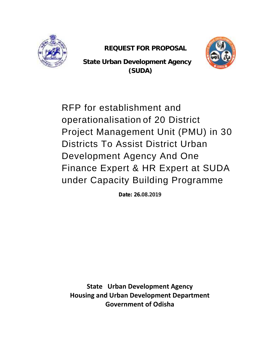

**REQUEST FOR PROPOSAL**



**State Urban Development Agency State Urban Development (SUDA)**

RFP for establishment and RFP for establishment and<br>operationalisation of 20 District Project Management Unit (PMU) in 30 Districts To Assist District Urban Development Agency And One Finance Expert & HR Expert at SUDA Districts To Assist District Urban<br>Development Agency And One<br>Finance Expert & HR Expert at SUDA<br>under Capacity Building Programme

*Date: 26.08.2019*

**State Urban Development Agency Housing and Urban Development Department Government of Odisha Government**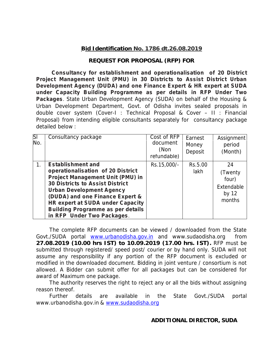### **Bid Identification No. 1786 dt.26.08.2019**

### **REQUEST FOR PROPOSAL (RFP) FOR**

**Consultancy for establishment and operationalisation of 20 District Project Management Unit (PMU) in 30 Districts to Assist District Urban Development Agency (DUDA) and one Finance Expert & HR expert at SUDA under Capacity Building Programme as per details in RFP Under Two Packages**. State Urban Development Agency (SUDA) on behalf of the Housing & Urban Development Department, Govt. of Odisha invites sealed proposals in double cover system (Cover-I : Technical Proposal & Cover – II : Financial Proposal) from intending eligible consultants separately for consultancy package detailed below :

| $\overline{\text{SI}}$<br>No. | Consultancy package                                                                                                                                                                                                                                                                                                                    | Cost of RFP<br>document<br>(Non<br>refundable) | Earnest<br>Money<br>Deposit | Assignment<br>period<br>(Month)                            |  |
|-------------------------------|----------------------------------------------------------------------------------------------------------------------------------------------------------------------------------------------------------------------------------------------------------------------------------------------------------------------------------------|------------------------------------------------|-----------------------------|------------------------------------------------------------|--|
|                               | <b>Establishment and</b><br>operationalisation of 20 District<br><b>Project Management Unit (PMU) in</b><br><b>30 Districts to Assist District</b><br><b>Urban Development Agency</b><br>(DUDA) and one Finance Expert &<br>HR expert at SUDA under Capacity<br><b>Building Programme as per details</b><br>in RFP Under Two Packages. | Rs.15,000/-                                    | Rs.5.00<br>lakh             | 24<br>(Twenty)<br>four)<br>Extendable<br>by $12$<br>months |  |

The complete RFP documents can be viewed / downloaded from the State Govt./SUDA portal www.urbanodisha.gov.in and www.sudaodisha.org from **27.08.2019 (10.00 hrs IST) to 10.09.2019 (17.00 hrs. IST).** RFP must be submitted through registered/ speed post/ courier or by hand only. SUDA will not assume any responsibility if any portion of the RFP document is excluded or modified in the downloaded document. Bidding in joint venture / consortium is not allowed. A Bidder can submit offer for all packages but can be considered for award of Maximum one package.

The authority reserves the right to reject any or all the bids without assigning reason thereof.

Further details are available in the State Govt./SUDA portal www.urbanodisha.gov.in & www.sudaodisha.org

**ADDITIONAL DIRECTOR, SUDA**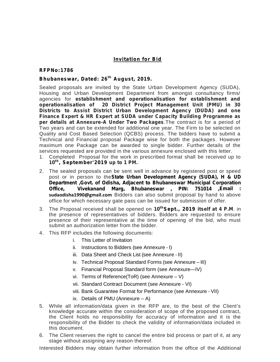### **Invitation for Bid**

#### **RFPNo:1786**

### Bhubaneswar, Dated: 26<sup>th</sup> August, 2019.

Sealed proposals are invited by the State Urban Development Agency (SUDA), Housing and Urban Development Department from amongst consultancy firms/ agencies for **establishment and operationalisation for establishment and operationalisation of 20 District Project Management Unit (PMU) in 30 Districts to Assist District Urban Development Agency (DUDA) and one Finance Expert & HR Expert at SUDA under Capacity Building Programme as per details at Annexure-A Under Two Packages**.The contract is for a period of Two years and can be extended for additional one year. The Firm to be selected on Quality and Cost Based Selection (QCBS) process. The bidders have to submit a Technical and Financial proposal Package wise for both the packages. However maximum one Package can be awarded to single bidder. Further details of the services requested are provided in the various annexure enclosed with this letter.<br>1. Completed Proposal for the work in prescribed format shall b services requested are provided in the various annexure enclosed with this letter.

- 1. Completed Proposal for the work in prescribed format shall be received up to **, September'2019 up to 1 PM.**
- 2. The sealed proposals can be sent well in advance by registered post or speed post or in person to the**State Urban Development Agency (SUDA), H & UD Department ,Govt. of Odisha, Adjacent to Bhubaneswar Municipal Corporation Office, Vivekanand Marg, Bhubaneswar , PIN: 751014 ,Email : sudaodisha1990@gmail.com** Bidders can also submit proposal by hand to above office for which necessary gate pass can be issued for submission of offer.
- 3. The Proposal received shall be opened on **<sup>10</sup>t hSept., 2019 itself at 4 P.M**. in the presence of representatives of bidders. Bidders are requested to ensure presence of their representative at the time of opening of the bid, who must submit an authorization letter from the bidder.
- 4. This RFP includes the following documents:
	- i. This Letter of Invitation
	- ii. Instructions to Bidders (see Annexure I)
	- iii. Data Sheet and Check List (see Annexure II)
	- iv. Technical Proposal Standard Forms (see Annexure III)
	- v. Financial Proposal Standard form (see Annexure—IV)
	- vi. Terms of Reference(ToR) (see Annexure V)
	- vii. Standard Contract Document (see Annexure VI)
	- viii. Bank Guarantee Format for Performance (see Annexure VII)
	- ix. Details of PMU (Annexure  $-$  A)
- 5. While all information/data given in the RFP are, to the best of the Client's knowledge accurate within the consideration of scope of the proposed contract, the Client holds no responsibility for accuracy of information and it is the responsibility of the Bidder to check the validity of information/data included in this document.
- 6. The Client reserves the right to cancel the entire bid process or part of it, at any stage without assigning any reason thereof.

Interested Bidders may obtain further information from the office of the Additional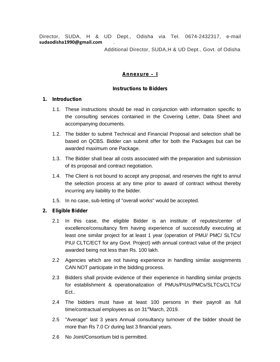Director, SUDA, H & UD Dept., Odisha via Tel. 0674-2432317, e-mail **sudaodisha1990@gmail.com** .

Additional Director, SUDA,H & UD Dept., Govt. of Odisha

### **Annexure – I**

### **Instructions to Bidders**

### **1. Introduction**

- 1.1. These instructions should be read in conjunction with information specific to the consulting services contained in the Covering Letter, Data Sheet and accompanying documents.
- 1.2. The bidder to submit Technical and Financial Proposal and selection shall be based on QCBS. Bidder can submit offer for both the Packages but can be awarded maximum one Package.
- 1.3. The Bidder shall bear all costs associated with the preparation and submission of its proposal and contract negotiation.
- 1.4. The Client is not bound to accept any proposal, and reserves the right to annul the selection process at any time prior to award of contract without thereby incurring any liability to the bidder.
- 1.5. In no case, sub-letting of "overall works" would be accepted.

### **2. Eligible Bidder**

- 2.1 In this case, the eligible Bidder is an institute of reputes/center of excellence/consultancy firm having experience of successfully executing at least one similar project for at least 1 year (operation of PMU/ PMC/ SLTCs/ PIU/ CLTC/ECT for any Govt. Project) with annual contract value of the project awarded being not less than Rs. 100 lakh.
- 2.2 Agencies which are not having experience in handling similar assignments CAN NOT participate in the bidding process.
- 2.3 Bidders shall provide evidence of their experience in handling similar projects for establishment & operationalization of PMUs/PIUs/PMCs/SLTCs/CLTCs/ Ect..
- 2.4 The bidders must have at least 100 persons in their payroll as full time/contractual employees as on  $31<sup>st</sup>$ March, 2019.
- 2.5 "Average" last 3 years Annual consultancy turnover of the bidder should be more than Rs 7.0 Cr during last 3 financial years.
- 2.6 No Joint/Consortium bid is permitted.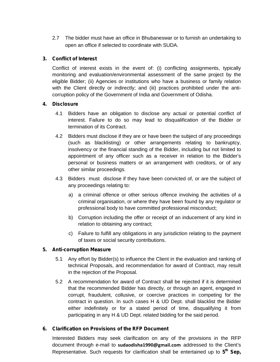2.7 The bidder must have an office in Bhubaneswar or to furnish an undertaking to open an office if selected to coordinate with SUDA.

### **3. Conflict of Interest**

Conflict of interest exists in the event of: (i) conflicting assignments, typically monitoring and evaluation/environmental assessment of the same project by the eligible Bidder; (ii) Agencies or institutions who have a business or family relation with the Client directly or indirectly; and (iii) practices prohibited under the anticorruption policy of the Government of India and Government of Odisha.

### **4. Disclosure**

- 4.1 Bidders have an obligation to disclose any actual or potential conflict of interest. Failure to do so may lead to disqualification of the Bidder or termination of its Contract.
- 4.2 Bidders must disclose if they are or have been the subject of any proceedings (such as blacklisting) or other arrangements relating to bankruptcy, insolvency or the financial standing of the Bidder, including but not limited to appointment of any officer such as a receiver in relation to the Bidder's personal or business matters or an arrangement with creditors, or of any other similar proceedings.
- 4.3 Bidders must disclose if they have been convicted of, or are the subject of any proceedings relating to:
	- a) a criminal offence or other serious offence involving the activities of a criminal organisation, or where they have been found by any regulator or professional body to have committed professional misconduct;
	- b) Corruption including the offer or receipt of an inducement of any kind in relation to obtaining any contract;
	- c) Failure to fulfill any obligations in any jurisdiction relating to the payment of taxes or social security contributions.

### **5. Anti-corruption Measure**

- 5.1 Any effort by Bidder(s) to influence the Client in the evaluation and ranking of technical Proposals, and recommendation for award of Contract, may result in the rejection of the Proposal.
- 5.2 A recommendation for award of Contract shall be rejected if it is determined that the recommended Bidder has directly, or through an agent, engaged in corrupt, fraudulent, collusive, or coercive practices in competing for the contract in question. In such cases H & UD Dept. shall blacklist the Bidder either indefinitely or for a stated period of time, disqualifying it from participating in any H & UD Dept. related bidding for the said period.

### **6. Clarification on Provisions of the RFP Document**

Interested Bidders may seek clarification on any of the provisions in the RFP document through e-mail to **sudaodisha1990@gmail.com** addressed to the Client's Representative. Such requests for clarification shall be entertained up to **5 th Sep,**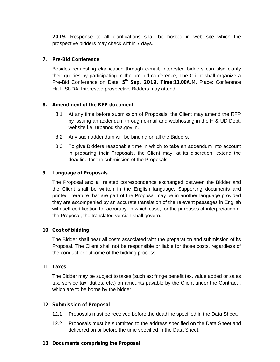**2019.** Response to all clarifications shall be hosted in web site which the prospective bidders may check within 7 days.

### **7. Pre-Bid Conference**

Besides requesting clarification through e-mail, interested bidders can also clarify their queries by participating in the pre-bid conference, The Client shall organize a Pre-Bid Conference on Date: **5 th Sep, 2019, Time:11.00A.M,** Place: Conference Hall , SUDA .Interested prospective Bidders may attend.

### **8. Amendment of the RFP document**

- 8.1 At any time before submission of Proposals, the Client may amend the RFP by issuing an addendum through e-mail and webhosting in the H & UD Dept. website i.e. urbanodisha.gov.in.
- 8.2 Any such addendum will be binding on all the Bidders.
- 8.3 To give Bidders reasonable time in which to take an addendum into account in preparing their Proposals, the Client may, at its discretion, extend the deadline for the submission of the Proposals.

### **9. Language of Proposals**

The Proposal and all related correspondence exchanged between the Bidder and the Client shall be written in the English language. Supporting documents and printed literature that are part of the Proposal may be in another language provided they are accompanied by an accurate translation of the relevant passages in English with self-certification for accuracy, in which case, for the purposes of interpretation of the Proposal, the translated version shall govern.

### **10. Cost of bidding**

The Bidder shall bear all costs associated with the preparation and submission of its Proposal. The Client shall not be responsible or liable for those costs, regardless of the conduct or outcome of the bidding process.

### **11. Taxes**

The Bidder may be subject to taxes (such as: fringe benefit tax, value added or sales tax, service tax, duties, etc.) on amounts payable by the Client under the Contract , which are to be borne by the bidder.

### **12. Submission of Proposal**

- 12.1 Proposals must be received before the deadline specified in the Data Sheet.
- 12.2 Proposals must be submitted to the address specified on the Data Sheet and delivered on or before the time specified in the Data Sheet.

### **13. Documents comprising the Proposal**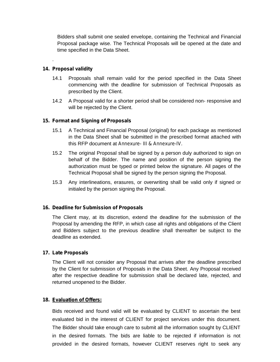Bidders shall submit one sealed envelope, containing the Technical and Financial Proposal package wise. The Technical Proposals will be opened at the date and time specified in the Data Sheet.

### **14. Proposal validity**

.

- 14.1 Proposals shall remain valid for the period specified in the Data Sheet commencing with the deadline for submission of Technical Proposals as prescribed by the Client.
- 14.2 A Proposal valid for a shorter period shall be considered non- responsive and will be rejected by the Client.

#### **15. Format and Signing of Proposals**

- 15.1 A Technical and Financial Proposal (original) for each package as mentioned in the Data Sheet shall be submitted in the prescribed format attached with this RFP document at *Annexure- III & Annexure-IV.*
- 15.2 The original Proposal shall be signed by a person duly authorized to sign on behalf of the Bidder. The name and position of the person signing the authorization must be typed or printed below the signature. All pages of the Technical Proposal shall be signed by the person signing the Proposal.
- 15.3 Any interlineations, erasures, or overwriting shall be valid only if signed or initialed by the person signing the Proposal.

### **16. Deadline for Submission of Proposals**

The Client may, at its discretion, extend the deadline for the submission of the Proposal by amending the RFP, in which case all rights and obligations of the Client and Bidders subject to the previous deadline shall thereafter be subject to the deadline as extended.

#### **17. Late Proposals**

The Client will not consider any Proposal that arrives after the deadline prescribed by the Client for submission of Proposals in the Data Sheet. Any Proposal received after the respective deadline for submission shall be declared late, rejected, and returned unopened to the Bidder.

#### **18. Evaluation of Offers:**

Bids received and found valid will be evaluated by CLIENT to ascertain the best evaluated bid in the interest of CLIENT for project services under this document. The Bidder should take enough care to submit all the information sought by CLIENT in the desired formats. The bids are liable to be rejected if information is not provided in the desired formats, however CLIENT reserves right to seek any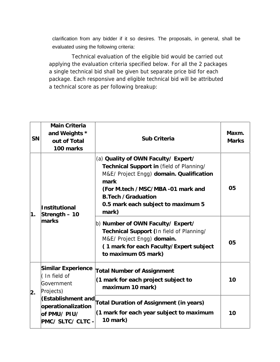clarification from any bidder if it so desires. The proposals, in general, shall be evaluated using the following criteria:

Technical evaluation of the eligible bid would be carried out applying the evaluation criteria specified below. For all the 2 packages a single technical bid shall be given but separate price bid for each package. Each responsive and eligible technical bid will be attributed a technical score as per following breakup:

| SN | Main Criteria<br>and Weights *<br>out of Total<br>100 marks               | Sub Criteria                                                                                                                                                                                                                                         | Maxm.<br><b>Marks</b> |
|----|---------------------------------------------------------------------------|------------------------------------------------------------------------------------------------------------------------------------------------------------------------------------------------------------------------------------------------------|-----------------------|
| 1. | Institutional<br>Strength - 10                                            | (a) Quality of OWN Faculty/ Expert/<br>Technical Support in (field of Planning/<br>M&E/ Project Engg) domain. Qualification<br>mark<br>(For M.tech /MSC/MBA -01 mark and<br><b>B.Tech /Graduation</b><br>0.5 mark each subject to maximum 5<br>mark) | 05                    |
|    | marks                                                                     | b) Number of OWN Faculty/ Expert/<br>Technical Support (In field of Planning/<br>M&E/ Project Engg) domain.<br>(1 mark for each Faculty/Expert subject<br>to maximum 05 mark)                                                                        | 05                    |
| 2. | Similar Experience<br>(In field of<br>Government<br>Projects)             | <b>Total Number of Assignment</b><br>(1 mark for each project subject to<br>maximum 10 mark)                                                                                                                                                         | 10                    |
|    | (Establishment and<br>operationalization<br>of PMU/PIU/<br>PMC/SLTC/CLTC- | Total Duration of Assignment (in years)<br>(1 mark for each year subject to maximum<br>10 mark)                                                                                                                                                      | 10                    |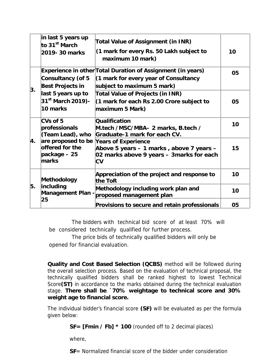|    | in last 5 years up<br>to 31 <sup>st</sup> March<br>2019-30 marks | Total Value of Assignment (in INR)<br>(1 mark for every Rs. 50 Lakh subject to<br>maximum 10 mark)                                   | 10 |
|----|------------------------------------------------------------------|--------------------------------------------------------------------------------------------------------------------------------------|----|
|    | Consultancy (of 5<br>Best Projects in                            | Experience in other Total Duration of Assignment (in years)<br>(1 mark for every year of Consultancy<br>subject to maximum 5 mark)   | 05 |
| 3. | last 5 years up to<br>31 <sup>st</sup> March 2019)-<br>10 marks  | Total Value of Projects (in INR)<br>(1 mark for each Rs 2.00 Crore subject to<br>maximum 5 Mark)                                     | 05 |
| 4. | CVs of 5<br>professionals<br>(Team Lead), who                    | Qualification<br>M.tech /MSC/MBA- 2 marks, B.tech /<br>Graduate-1 mark for each CV.                                                  | 10 |
|    | offered for the<br>package - 25<br>marks                         | are proposed to be Years of Experience<br>Above 5 years - 1 marks, above 7 years -<br>02 marks above 9 years - 3marks for each<br>CV | 15 |
| 5. | Methodology                                                      | Appreciation of the project and response to<br>the ToR                                                                               | 10 |
|    | including<br>Management Plan<br>25                               | Methodology including work plan and<br>proposed management plan                                                                      | 10 |
|    |                                                                  | Provisions to secure and retain professionals                                                                                        | 05 |

The bidders with technical bid score of at least 70% will be considered technically qualified for further process.

The price bids of technically qualified bidders will only be opened for financial evaluation.

**Quality and Cost Based Selection (QCBS)** method will be followed during the overall selection process. Based on the evaluation of technical proposal, the technically qualified bidders shall be ranked highest to lowest Technical Score**(ST)** in accordance to the marks obtained during the technical evaluation stage. **There shall be `70% weightage to technical score and 30% weight age to financial score.**

The individual bidder's financial score **(SF)** will be evaluated as per the formula given below:

**SF= [Fmin / Fb] \* 100** (rounded off to 2 decimal places)

where,

**SF**= Normalized financial score of the bidder under consideration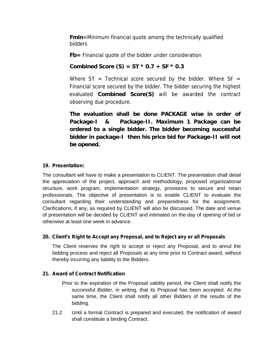**Fmin**=Minimum financial quote among the technically qualified bidders

**Fb=** Financial quote of the bidder under consideration

**Combined Score (S) = ST \* 0.7 + SF \* 0.3**

Where  $ST = Technical score$  score secured by the bidder. Where  $SF =$ Financial score secured by the bidder. The bidder securing the highest evaluated **Combined Score(S)** will be awarded the contract observing due procedure.

**The evaluation shall be done PACKAGE wise in order of Package-I & Package-II. Maximum 1 Package can be ordered to a single bidder. The bidder becoming successful bidder in package-I then his price bid for Package-II will not be opened.**

### **19. Presentation:**

The consultant will have to make a presentation to CLIENT. The presentation shall detail the appreciation of the project, approach and methodology, proposed organizational structure, work program, implementation strategy, provisions to secure and retain professionals. The objective of presentation is to enable CLIENT to evaluate the consultant regarding their understanding and preparedness for the assignment. Clarifications, if any, as required by CLIENT will also be discussed. The date and venue of presentation will be decided by CLIENT and intimated on the day of opening of bid or otherwise at least one week in advance.

### **20. Client's Right to Accept any Proposal, and to Reject any or all Proposals**

The Client reserves the right to accept or reject any Proposal, and to annul the bidding process and reject all Proposals at any time prior to Contract award, without thereby incurring any liability to the Bidders.

### **21. Award of Contract Notification**

Prior to the expiration of the Proposal validity period, the Client shall notify the successful Bidder, in writing, that its Proposal has been accepted. At the same time, the Client shall notify all other Bidders of the results of the bidding.

21.2 Until a formal Contract is prepared and executed, the notification of award shall constitute a binding Contract.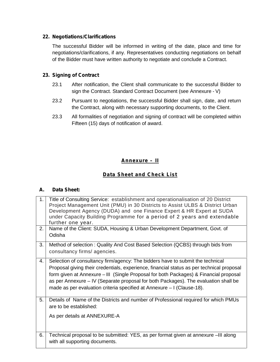### **22. Negotiations/Clarifications**

The successful Bidder will be informed in writing of the date, place and time for negotiations/clarifications, if any. Representatives conducting negotiations on behalf of the Bidder must have written authority to negotiate and conclude a Contract.

### **23. Signing of Contract**

- 23.1 After notification, the Client shall communicate to the successful Bidder to sign the Contract. Standard Contract Document (see Annexure - V)
- 23.2 Pursuant to negotiations, the successful Bidder shall sign, date, and return the Contract, along with necessary supporting documents, to the Client.
- 23.3 All formalities of negotiation and signing of contract will be completed within Fifteen (15) days of notification of award.

### **Annexure – II**

### **Data Sheet and Check List**

### **A. Data Sheet:**

| 1.<br>2. | Title of Consulting Service: establishment and operationalisation of 20 District<br>Project Management Unit (PMU) in 30 Districts to Assist ULBS & District Urban<br>Development Agency (DUDA) and one Finance Expert & HR Expert at SUDA<br>under Capacity Building Programme for a period of 2 years and extendable<br>further one year.<br>Name of the Client: SUDA, Housing & Urban Development Department, Govt. of<br>Odisha    |
|----------|---------------------------------------------------------------------------------------------------------------------------------------------------------------------------------------------------------------------------------------------------------------------------------------------------------------------------------------------------------------------------------------------------------------------------------------|
| 3.       | Method of selection: Quality And Cost Based Selection (QCBS) through bids from<br>consultancy firms/ agencies.                                                                                                                                                                                                                                                                                                                        |
| 4.       | Selection of consultancy firm/agency: The bidders have to submit the technical<br>Proposal giving their credentials, experience, financial status as per technical proposal<br>form given at Annexure – III (Single Proposal for both Packages) & Financial proposal<br>as per Annexure – IV (Separate proposal for both Packages). The evaluation shall be<br>made as per evaluation criteria specified at Annexure - I (Clause-18). |
| 5.       | Details of Name of the Districts and number of Professional required for which PMUs<br>are to be established:                                                                                                                                                                                                                                                                                                                         |
|          | As per details at ANNEXURE-A                                                                                                                                                                                                                                                                                                                                                                                                          |
| 6.       | Technical proposal to be submitted: YES, as per format given at annexure -III along<br>with all supporting documents.                                                                                                                                                                                                                                                                                                                 |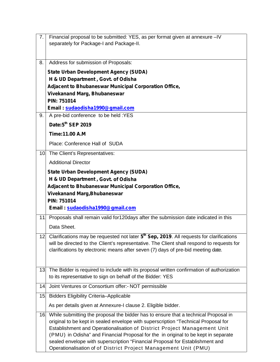| 7.              | Financial proposal to be submitted: YES, as per format given at annexure -IV                                                                                                                                                                                                                                                                                                                                                 |
|-----------------|------------------------------------------------------------------------------------------------------------------------------------------------------------------------------------------------------------------------------------------------------------------------------------------------------------------------------------------------------------------------------------------------------------------------------|
|                 | separately for Package-I and Package-II.                                                                                                                                                                                                                                                                                                                                                                                     |
| 8.              | Address for submission of Proposals:                                                                                                                                                                                                                                                                                                                                                                                         |
|                 | <b>State Urban Development Agency (SUDA)</b>                                                                                                                                                                                                                                                                                                                                                                                 |
|                 | H & UD Department, Govt. of Odisha                                                                                                                                                                                                                                                                                                                                                                                           |
|                 | Adjacent to Bhubaneswar Municipal Corporation Office,                                                                                                                                                                                                                                                                                                                                                                        |
|                 | <b>Vivekanand Marg, Bhubaneswar</b>                                                                                                                                                                                                                                                                                                                                                                                          |
|                 | <b>PIN: 751014</b>                                                                                                                                                                                                                                                                                                                                                                                                           |
| 9.              | Email sudaodisha1990@gmail.com<br>A pre-bid conference to be held :YES                                                                                                                                                                                                                                                                                                                                                       |
|                 | Date:5th SEP 2019                                                                                                                                                                                                                                                                                                                                                                                                            |
|                 |                                                                                                                                                                                                                                                                                                                                                                                                                              |
|                 | Time:11.00 A.M                                                                                                                                                                                                                                                                                                                                                                                                               |
|                 | Place: Conference Hall of SUDA                                                                                                                                                                                                                                                                                                                                                                                               |
| 10 <sub>1</sub> | The Client's Representatives:                                                                                                                                                                                                                                                                                                                                                                                                |
|                 | <b>Additional Director</b>                                                                                                                                                                                                                                                                                                                                                                                                   |
|                 | <b>State Urban Development Agency (SUDA)</b><br>H & UD Department, Govt. of Odisha<br><b>Adjacent to Bhubaneswar Municipal Corporation Office,</b><br><b>Vivekanand Marg, Bhubaneswar</b><br><b>PIN: 751014</b>                                                                                                                                                                                                              |
|                 | Email sudaodisha1990@gmail.com                                                                                                                                                                                                                                                                                                                                                                                               |
| 11              | Proposals shall remain valid for 120 days after the submission date indicated in this                                                                                                                                                                                                                                                                                                                                        |
|                 | Data Sheet.                                                                                                                                                                                                                                                                                                                                                                                                                  |
|                 | 12 Clarifications may be requested not later 5 <sup>th</sup> Sep, 2019. All requests for clarifications<br>will be directed to the Client's representative. The Client shall respond to requests for<br>clarifications by electronic means after seven (7) days of pre-bid meeting date.                                                                                                                                     |
| 13.             | The Bidder is required to include with its proposal written confirmation of authorization<br>to its representative to sign on behalf of the Bidder: YES                                                                                                                                                                                                                                                                      |
| 14.             | Joint Ventures or Consortium offer:- NOT permissible                                                                                                                                                                                                                                                                                                                                                                         |
| 15.             | <b>Bidders Eligibility Criteria-Applicable</b>                                                                                                                                                                                                                                                                                                                                                                               |
|                 | As per details given at Annexure-I clause 2. Eligible bidder.                                                                                                                                                                                                                                                                                                                                                                |
| 16              | While submitting the proposal the bidder has to ensure that a technical Proposal in<br>original to be kept in sealed envelope with superscription "Technical Proposal for<br>Establishment and Operationalisation of District Project Management Unit<br>(PMU) in Odisha" and Financial Proposal for the in original to be kept in separate<br>sealed envelope with superscription "Financial Proposal for Establishment and |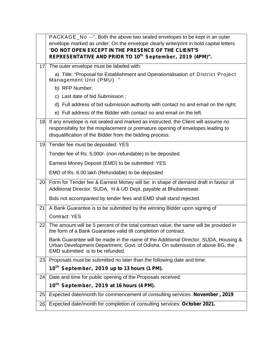|                 | PACKAGE No --". Both the above two sealed envelopes to be kept in an outer<br>envelope marked as under: On the envelope clearly write/print in bold capital letters<br>"DO NOT OPEN EXCEPT IN THE PRESENCE OF THE CLIENT'S<br>REPRESENTATIVE AND PRIOR TO 10th September, 2019 (4PM)". |
|-----------------|----------------------------------------------------------------------------------------------------------------------------------------------------------------------------------------------------------------------------------------------------------------------------------------|
| 17.             | The outer envelope must be labeled with:                                                                                                                                                                                                                                               |
|                 | a) Title: "Proposal for Establishment and Operationalisation of District Project<br>Management Unit (PMU)                                                                                                                                                                              |
|                 | b) RFP Number;                                                                                                                                                                                                                                                                         |
|                 | c) Last date of bid Submission;                                                                                                                                                                                                                                                        |
|                 | d) Full address of bid submission authority with contact no and email on the right;                                                                                                                                                                                                    |
|                 | e) Full address of the Bidder with contact no and email on the left.                                                                                                                                                                                                                   |
|                 | 18 If any envelope is not sealed and marked as instructed, the Client will assume no<br>responsibility for the misplacement or premature opening of envelopes leading to<br>disqualification of the Bidder from the bidding process.                                                   |
| 19.             | Tender fee must be deposited: YES                                                                                                                                                                                                                                                      |
|                 | Tender fee of Rs. 5,000/- (non-refundable) to be deposited.                                                                                                                                                                                                                            |
|                 | Earnest Money Deposit (EMD) to be submitted: YES                                                                                                                                                                                                                                       |
|                 | EMD of Rs. 6.00 lakh (Refundable) to be deposited                                                                                                                                                                                                                                      |
|                 | 20. Form for Tender fee & Earnest Money will be: in shape of demand draft in favour of<br>Additional Director, SUDA, H & UD Dept. payable at Bhubaneswar.                                                                                                                              |
|                 | Bids not accompanied by tender fees and EMD shall stand rejected.                                                                                                                                                                                                                      |
| 21.             | A Bank Guarantee is to be submitted by the winning Bidder upon signing of                                                                                                                                                                                                              |
|                 | <b>Contract: YES</b>                                                                                                                                                                                                                                                                   |
| 22 <sub>1</sub> | The amount will be 5 percent of the total contract value; the same will be provided in<br>the form of a Bank Guarantee valid till completion of contract.                                                                                                                              |
|                 | Bank Guarantee will be made in the name of the Additional Director, SUDA, Housing &<br>Urban Development Department, Govt. of Odisha. On submission of above BG, the<br>EMD submitted is to be refunded.                                                                               |
| 23.             | Proposals must be submitted no later than the following date and time:                                                                                                                                                                                                                 |
|                 | 10 <sup>th</sup> September, 2019 up to 13 hours (1 PM).                                                                                                                                                                                                                                |
| 24.             | Date and time for public opening of the Proposals received:                                                                                                                                                                                                                            |
|                 | 10 <sup>th</sup> September, 2019 at 16 hours (4 PM).                                                                                                                                                                                                                                   |
| 25              | Expected date/month for commencement of consulting services : November, 2019                                                                                                                                                                                                           |
|                 |                                                                                                                                                                                                                                                                                        |
| 26.             | Expected date/month for completion of consulting services: October 2021.                                                                                                                                                                                                               |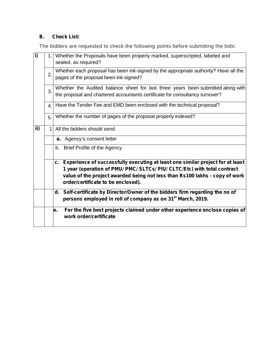# **B. Check List:**

The bidders are requested to check the following points before submitting the bids:

| $\overline{1}$ | 1.1 | Whether the Proposals have been properly marked, superscripted, labeled and<br>sealed, as required?                                                                                                                                                                                |
|----------------|-----|------------------------------------------------------------------------------------------------------------------------------------------------------------------------------------------------------------------------------------------------------------------------------------|
|                | 2.  | Whether each proposal has been ink-signed by the appropriate authority? Have all the<br>pages of the proposal been ink-signed?                                                                                                                                                     |
|                | 3.  | Whether the Audited balance sheet for last three years been submitted along with<br>the proposal and chartered accountants certificate for consultancy turnover?                                                                                                                   |
|                | 4.  | Have the Tender Fee and EMD been enclosed with the technical proposal?                                                                                                                                                                                                             |
|                | 5.  | Whether the number of pages of the proposal properly indexed?                                                                                                                                                                                                                      |
| ii)            | 1   | All the bidders should send:                                                                                                                                                                                                                                                       |
|                |     | a. Agency's consent letter                                                                                                                                                                                                                                                         |
|                |     | b. Brief Profile of the Agency                                                                                                                                                                                                                                                     |
|                |     | c. Experience of successfully executing at least one similar project for at least<br>1 year (operation of PMU/ PMC/ SLTCs/ PIU/ CLTC/Etc) with total contract<br>value of the project awarded being not less than Rs100 lakhs - copy of work<br>order/certificate to be enclosed). |
|                |     | d. Self-certificate by Director/Owner of the bidders firm regarding the no of<br>persons employed in roll of company as on 31 <sup>st</sup> March, 2019.                                                                                                                           |
|                |     | For the five best projects claimed under other experience enclose copies of<br>le.<br>work order/certificate                                                                                                                                                                       |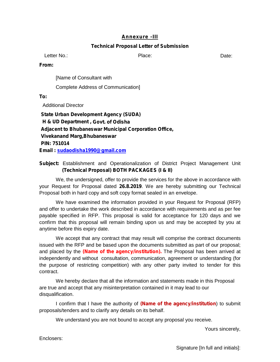#### **Annexure -III**

#### **Technical Proposal Letter of Submission**

Letter No.: Contract Contract Contract Place: Contract Contract Contract Contract Contract Contract Contract Contract Contract Contract Contract Contract Contract Contract Contract Contract Contract Contract Contract Contr

**From:**

[Name of Consultant with

Complete Address of Communication]

**To:**

Additional Director

**State Urban Development Agency (SUDA) H & UD Department , Govt. of Odisha Adjacent to Bhubaneswar Municipal Corporation Office, Vivekanand Marg,Bhubaneswar PIN: 751014 Email : sudaodisha1990@gmail.com**

### **Subject:** Establishment and Operationalization of District Project Management Unit **(Technical Proposal) BOTH PACKAGES (I & II)**

We, the undersigned, offer to provide the services for the above in accordance with your Request for Proposal dated **26.8.2019**. We are hereby submitting our Technical Proposal both in hard copy and soft copy format sealed in an envelope.

We have examined the information provided in your Request for Proposal (RFP) and offer to undertake the work described in accordance with requirements and as per fee payable specified in RFP. This proposal is valid for acceptance for 120 days and we confirm that this proposal will remain binding upon us and may be accepted by you at anytime before this expiry date.

We accept that any contract that may result will comprise the contract documents issued with the RFP and be based upon the documents submitted as part of our proposal; and placed by the **(N***ame of the agency/institution)***.** The Proposal has been arrived at independently and without consultation, communication, agreement or understanding (for the purpose of restricting competition) with any other party invited to tender for this contract.<br>We hereby declare that all the information and statements made in this Proposal

are true and accept that any misinterpretation contained in it may lead to our disqualification.

I confirm that I have the authority of *(Name of the agency/institution*) to submit proposals/tenders and to clarify any details on its behalf.

We understand you are not bound to accept any proposal you receive.

Yours sincerely,

Enclosers:

Signature [In full and initials]: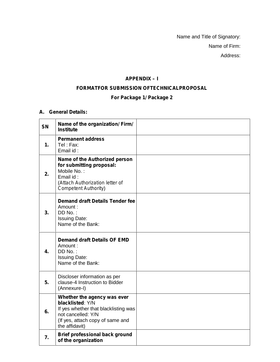Name and Title of Signatory: Name of Firm: Address:

### **APPENDIX – I**

### **FORMATFOR SUBMISSION OFTECHNICALPROPOSAL**

### **For Package 1/ Package 2**

### **A. General Details:**

| <b>SN</b>      | Name of the organization/ Firm/<br><b>Institute</b>                                                                                                                 |  |
|----------------|---------------------------------------------------------------------------------------------------------------------------------------------------------------------|--|
| $\mathbf{1}$ . | <b>Permanent address</b><br>Tel: Fax:<br>Email id:                                                                                                                  |  |
| 2.             | Name of the Authorized person<br>for submitting proposal:<br>Mobile No.:<br>Email id:<br>(Attach Authorization letter of<br>Competent Authority)                    |  |
| 3.             | <b>Demand draft Details Tender fee</b><br>Amount:<br>DD No.:<br><b>Issuing Date:</b><br>Name of the Bank:                                                           |  |
| 4.             | <b>Demand draft Details OF EMD</b><br>Amount:<br>DD No.:<br><b>Issuing Date:</b><br>Name of the Bank:                                                               |  |
| 5.             | Discloser information as per<br>clause-4 Instruction to Bidder<br>(Annexure-I)                                                                                      |  |
| 6.             | Whether the agency was ever<br>blacklisted: Y/N<br>If yes whether that blacklisting was<br>not cancelled: Y/N<br>(If yes, attach copy of same and<br>the affidavit) |  |
| 7.             | <b>Brief professional back ground</b><br>of the organization                                                                                                        |  |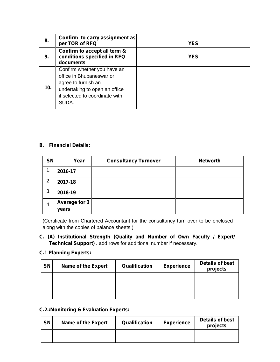| 8.              | Confirm to carry assignment as<br>per TOR of RFQ                                                                                                           | <b>YES</b> |
|-----------------|------------------------------------------------------------------------------------------------------------------------------------------------------------|------------|
| 9.              | Confirm to accept all term &<br>conditions specified in RFQ<br>documents                                                                                   | <b>YES</b> |
| 10 <sub>1</sub> | Confirm whether you have an<br>office in Bhubaneswar or<br>agree to furnish an<br>undertaking to open an office<br>if selected to coordinate with<br>SUDA. |            |

### **B. Financial Details:**

| <b>SN</b> | Year                          | <b>Consultancy Turnover</b> | <b>Networth</b> |
|-----------|-------------------------------|-----------------------------|-----------------|
| 1.        | 2016-17                       |                             |                 |
| 2.        | 2017-18                       |                             |                 |
| 3.        | 2018-19                       |                             |                 |
| 4.        | <b>Average for 3</b><br>years |                             |                 |

(Certificate from Chartered Accountant for the consultancy turn over to be enclosed along with the copies of balance sheets.)

**C. (A) Institutional Strength (Quality and Number of Own Faculty / Expert/ Technical Support) .** add rows for additional number if necessary.

### **C.1 Planning Experts:**

| <b>SN</b> | <b>Name of the Expert</b> | Qualification | <b>Experience</b> | <b>Details of best</b><br>projects |
|-----------|---------------------------|---------------|-------------------|------------------------------------|
|           |                           |               |                   |                                    |
|           |                           |               |                   |                                    |

### **C.2.:Monitoring & Evaluation Experts:**

| <b>SN</b> | Name of the Expert | Qualification | <b>Experience</b> | Details of best<br>projects |
|-----------|--------------------|---------------|-------------------|-----------------------------|
|           |                    |               |                   |                             |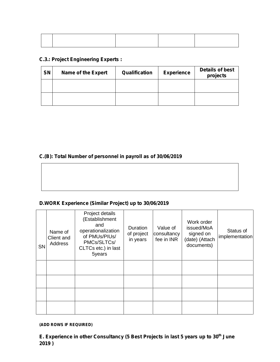### **C.3.: Project Engineering Experts :**

| <b>SN</b> | <b>Name of the Expert</b> | Qualification | <b>Experience</b> | <b>Details of best</b><br>projects |
|-----------|---------------------------|---------------|-------------------|------------------------------------|
|           |                           |               |                   |                                    |
|           |                           |               |                   |                                    |

### **C.(B): Total Number of personnel in payroll as of 30/06/2019**

# **D.WORK Experience (Similar Project) up to 30/06/2019**

| <b>SN</b> | Name of<br>Client and<br>Address | Project details<br>(Establishment<br>and<br>operationalization<br>of PMUs/PIUs/<br>PMCs/SLTCs/<br>CLTCs etc.) in last<br>5years | Duration<br>of project<br>in years | Value of<br>consultancy<br>fee in INR | Work order<br>issued/MoA<br>signed on<br>(date) (Attach<br>documents) | Status of<br>implementation |  |
|-----------|----------------------------------|---------------------------------------------------------------------------------------------------------------------------------|------------------------------------|---------------------------------------|-----------------------------------------------------------------------|-----------------------------|--|
|           |                                  |                                                                                                                                 |                                    |                                       |                                                                       |                             |  |
|           |                                  |                                                                                                                                 |                                    |                                       |                                                                       |                             |  |
|           |                                  |                                                                                                                                 |                                    |                                       |                                                                       |                             |  |
|           |                                  |                                                                                                                                 |                                    |                                       |                                                                       |                             |  |

*(ADD ROWS IF REQUIRED)*

**E. Experience in other Consultancy (5 Best Projects in last 5 years up to 30th June 2019 )**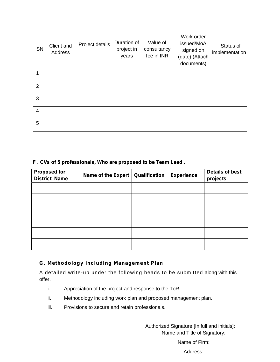| SN             | Client and<br>Address | Project details | Duration of<br>project in<br>years | Value of<br>consultancy<br>fee in INR | Work order<br>issued/MoA<br>signed on<br>(date) (Attach<br>documents) | Status of<br>implementation |  |
|----------------|-----------------------|-----------------|------------------------------------|---------------------------------------|-----------------------------------------------------------------------|-----------------------------|--|
| 1              |                       |                 |                                    |                                       |                                                                       |                             |  |
| $\overline{2}$ |                       |                 |                                    |                                       |                                                                       |                             |  |
| 3              |                       |                 |                                    |                                       |                                                                       |                             |  |
| 4              |                       |                 |                                    |                                       |                                                                       |                             |  |
| 5              |                       |                 |                                    |                                       |                                                                       |                             |  |

### **F. CVs of 5 professionals, Who are proposed to be Team Lead .**

| <b>Proposed for</b><br><b>District Name</b> | Name of the Expert | Qualification | <b>Experience</b> | <b>Details of best</b><br>projects |
|---------------------------------------------|--------------------|---------------|-------------------|------------------------------------|
|                                             |                    |               |                   |                                    |
|                                             |                    |               |                   |                                    |
|                                             |                    |               |                   |                                    |
|                                             |                    |               |                   |                                    |
|                                             |                    |               |                   |                                    |
|                                             |                    |               |                   |                                    |

### **G. Methodology including Management Plan**

A detailed write-up under the following heads to be submitted along with this offer.

- i. Appreciation of the project and response to the ToR.
- ii. Methodology including work plan and proposed management plan.
- iii. Provisions to secure and retain professionals.

Authorized Signature [In full and initials]: Name and Title of Signatory:

Name of Firm:

Address: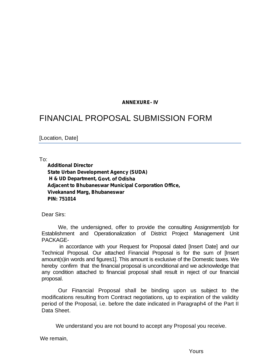### **ANNEXURE- IV**

# FINANCIAL PROPOSAL SUBMISSION FORM

[Location, Date]

To:

**Additional Director State Urban Development Agency (SUDA) H & UD Department, Govt. of Odisha Adjacent to Bhubaneswar Municipal Corporation Office, Vivekanand Marg, Bhubaneswar PIN: 751014**

Dear Sirs:

We, the undersigned, offer to provide the consulting Assignment/job for Establishment and Operationalization of District Project Management Unit PACKAGE-

in accordance with your Request for Proposal dated [Insert Date] and our Technical Proposal. Our attached Financial Proposal is for the sum of [Insert amount(s)in words and figures1]. This amount is exclusive of the Domestic taxes. We hereby confirm that the financial proposal is unconditional and we acknowledge that any condition attached to financial proposal shall result in reject of our financial proposal.

Our Financial Proposal shall be binding upon us subject to the modifications resulting from Contract negotiations, up to expiration of the validity period of the Proposal, i.e. before the date indicated in Paragraph4 of the Part II Data Sheet.

We understand you are not bound to accept any Proposal you receive.

We remain,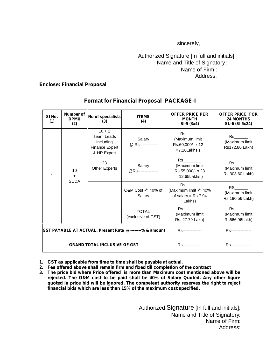sincerely,

### Authorized Signature [In full and initials]: Name and Title of Signatory : Name of Firm : Address:

#### **Enclose: Financial Proposal**

| SI <sub>No.</sub><br>(1) | Number of<br><b>DPMU</b><br>(2)                                                    | No of specialists<br>(3)            | <b>ITEMS</b><br>(4)                                        | <b>OFFER PRICE PER</b><br><b>MONTH</b><br>$SI-5(3x4)$                                                                                                                                                                                                              | <b>OFFER PRICE FOR</b><br><b>24 MONTHS</b><br>SL-6 (SI.5x24)                                                                                        |
|--------------------------|------------------------------------------------------------------------------------|-------------------------------------|------------------------------------------------------------|--------------------------------------------------------------------------------------------------------------------------------------------------------------------------------------------------------------------------------------------------------------------|-----------------------------------------------------------------------------------------------------------------------------------------------------|
|                          | $10 + 2$<br><b>Team Leads</b><br>Including<br><b>Finance Expert</b><br>& HR Expert | Salary<br>@ Rs-------------         | Rs<br>(Maximum limit<br>Rs.60,000/- x 12<br>$=7.20$ Lakhs) | Rs to the set of the set of the set of the set of the set of the set of the set of the set of the set of the set of the set of the set of the set of the set of the set of the set of the set of the set of the set of the set<br>(Maximum limit<br>Rs172.80 Lakh) |                                                                                                                                                     |
| 1                        | 10<br>$\ddot{}$                                                                    | 23<br><b>Other Experts</b>          | Salary<br>@RS----------------                              | Rs to the set of the set of the set of the set of the set of the set of the set of the set of the set of the s<br>(Maximum limit<br>Rs.55,000/- x 23<br>$=12.65$ Lakhs)                                                                                            | Rs to the set of the set of the set of the set of the set of the set of the set of the set of the set of the s<br>(Maximum limit<br>Rs.303.60 Lakh) |
| <b>SUDA</b>              |                                                                                    |                                     | O&M Cost @ 40% of<br>Salary                                | $Rs$ <sub>___</sub><br>(Maximum limit @ 40%<br>of salary = $Rs$ 7.94<br>Lakhs)                                                                                                                                                                                     | RS <sub>2</sub><br>(Maximum limit<br>Rs.190.56 Lakh)                                                                                                |
|                          |                                                                                    | <b>TOTAL</b><br>(exclusive of GST)  | (Maximum limit<br>Rs. 27.79 Lakh)                          | <b>Rs</b><br>(Maximum limit<br>Rs666.96Lakh)                                                                                                                                                                                                                       |                                                                                                                                                     |
|                          |                                                                                    |                                     | GST PAYABLE AT ACTUAL. Present Rate @--------% & amount    | <b>RS---------------</b>                                                                                                                                                                                                                                           | <b>RS</b> ----------------                                                                                                                          |
|                          |                                                                                    | <b>GRAND TOTAL INCLUSIVE OF GST</b> |                                                            | <b>RS</b> ---------------                                                                                                                                                                                                                                          | <b>RS----------------</b>                                                                                                                           |

### **Format for Financial Proposal PACKAGE-I**

- **1. GST as applicable from time to time shall be payable at actual.**
- **2. Fee offered above shall remain firm and fixed till completion of the contract**
- **3. The price bid where Price offered is more than Maximum cost mentioned above will be rejected. The O&M cost to be paid shall be 40% of Salary Quoted. Any other figure quoted in price bid will be ignored. The competent authority reserves the right to reject financial bids which are less than 15% of the maximum cost specified.**

-----------------------------------------------

Authorized Signature [In full and initials]: Name and Title of Signatory: Name of Firm: Address: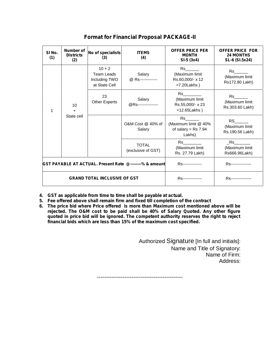| SI No.<br>(1)                                           | Number of<br><b>Districts</b><br>(2)                            | No of specialists<br>(3)    | <b>ITEMS</b><br>(4)                                                                                                                                                                                                                                                                    | <b>OFFER PRICE PER</b><br><b>MONTH</b><br>$SI-5(3x4)$                                                                                                                                                                                                               | <b>OFFER PRICE FOR</b><br><b>24 MONTHS</b><br>SL-6 (SI.5x24)                                                                                                                                                                                                        |
|---------------------------------------------------------|-----------------------------------------------------------------|-----------------------------|----------------------------------------------------------------------------------------------------------------------------------------------------------------------------------------------------------------------------------------------------------------------------------------|---------------------------------------------------------------------------------------------------------------------------------------------------------------------------------------------------------------------------------------------------------------------|---------------------------------------------------------------------------------------------------------------------------------------------------------------------------------------------------------------------------------------------------------------------|
|                                                         | $10 + 2$<br><b>Team Leads</b><br>Including TWO<br>at State Cell | Salary<br>@ Rs------------- | Rs and the set of the set of the set of the set of the set of the set of the set of the set of the set of the set of the set of the set of the set of the set of the set of the set of the set of the set of the set of the se<br>(Maximum limit<br>Rs.60,000/- x 12<br>$=7.20$ Lakhs) | <b>Rs</b><br>(Maximum limit<br>Rs172.80 Lakh)                                                                                                                                                                                                                       |                                                                                                                                                                                                                                                                     |
|                                                         | 10<br>$\ddot{}$<br>State cell                                   | 23<br>Other Experts         | Salary<br>@RS----------------                                                                                                                                                                                                                                                          | <b>Rs</b><br>(Maximum limit<br>Rs.55,000/- x 23<br>$=12.65$ Lakhs)                                                                                                                                                                                                  | Rs to the set of the set of the set of the set of the set of the set of the set of the set of the set of the set of the set of the set of the set of the set of the set of the set of the set of the set of the set of the set<br>(Maximum limit<br>Rs.303.60 Lakh) |
|                                                         |                                                                 |                             | O&M Cost @ 40% of<br>Salary                                                                                                                                                                                                                                                            | Rs<br>(Maximum limit @ 40%<br>of salary = $Rs$ 7.94<br>Lakhs)                                                                                                                                                                                                       | RS <sub>2</sub><br>(Maximum limit<br>Rs.190.56 Lakh)                                                                                                                                                                                                                |
|                                                         |                                                                 |                             | <b>TOTAL</b><br>(exclusive of GST)                                                                                                                                                                                                                                                     | Rs and the set of the set of the set of the set of the set of the set of the set of the set of the set of the set of the set of the set of the set of the set of the set of the set of the set of the set of the set of the se<br>(Maximum limit<br>Rs. 27.79 Lakh) | Rs<br>(Maximum limit<br>Rs666.96Lakh)                                                                                                                                                                                                                               |
| GST PAYABLE AT ACTUAL. Present Rate @--------% & amount |                                                                 |                             | <b>RS---------------</b>                                                                                                                                                                                                                                                               | <b>RS----------------</b>                                                                                                                                                                                                                                           |                                                                                                                                                                                                                                                                     |
|                                                         | <b>GRAND TOTAL INCLUSIVE OF GST</b>                             |                             |                                                                                                                                                                                                                                                                                        | <b>RS---------------</b>                                                                                                                                                                                                                                            | <b>RS----------------</b>                                                                                                                                                                                                                                           |

**Format for Financial Proposal PACKAGE-II**

- **4. GST as applicable from time to time shall be payable at actual.**
- **5. Fee offered above shall remain firm and fixed till completion of the contract**
- **6. The price bid where Price offered is more than Maximum cost mentioned above will be rejected. The O&M cost to be paid shall be 40% of Salary Quoted. Any other figure quoted in price bid will be ignored. The competent authority reserves the right to reject financial bids which are less than 15% of the maximum cost specified.**

Authorized Signature [In full and initials]: Name and Title of Signatory: Name of Firm: Address:

-----------------------------------------------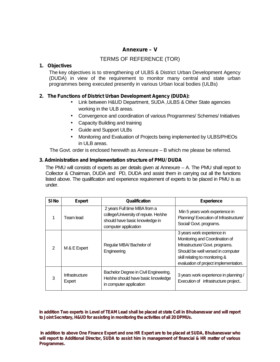### **Annexure – V**

### TERMS OF REFERENCE (TOR)

### **1. Objectives**

The key objectives is to strengthening of ULBS & District Urban Development Agency (DUDA) in view of the requirement to monitor many central and state urban programmes being executed presently in various Urban local bodies (ULBs)

### **2. The Functions of District Urban Development Agency (DUDA):**

- Link between H&UD Department, SUDA ,ULBS & Other State agencies working in the ULB areas.
- Convergence and coordination of various Programmes/ Schemes/ Initiatives
- Capacity Building and training
- Guide and Support ULBs
- Monitoring and Evaluation of Projects being implemented by ULBS/PHEOs in ULB areas.

The Govt. order is enclosed herewith as Annexure – B which me please be referred.

### **3. Administration and Implementation structure of PMU/ DUDA**

The PMU will consists of experts as per details given at Annexure – A. The PMU shall report to Collector & Chairman, DUDA and PD, DUDA and assist them in carrying out all the functions listed above. The qualification and experience requirement of experts to be placed in PMU is as under.

| SI <sub>No</sub> | <b>Expert</b>            | Qualification                                                                                                                  | <b>Experience</b>                                                                                                                                                                                               |
|------------------|--------------------------|--------------------------------------------------------------------------------------------------------------------------------|-----------------------------------------------------------------------------------------------------------------------------------------------------------------------------------------------------------------|
|                  | Team lead                | 2 years Full time MBA from a<br>college/University of repute. He/she<br>should have basic knowledge in<br>computer application | Min 5 years work experience in<br>Planning/Execution of Infrastructure/<br>Social/ Govt. programs.                                                                                                              |
| $\mathcal{P}$    | M & E Expert             | Regular MBA/Bachelor of<br>Engineering                                                                                         | 3 years work experience in<br>Monitoring and Coordination of<br>Infrastructure/ Govt. programs.<br>Should be well versed in computer<br>skill relating to monitoring &<br>evaluation of project implementation. |
| 3                | Infrastructure<br>Expert | Bachelor Degree in Civil Engineering.<br>He/she should have basic knowledge<br>in computer application                         | 3 years work experience in planning /<br>Execution of infrastructure project                                                                                                                                    |

**In addition Two experts in Level of TEAM Lead shall be placed at state Cell in Bhubaneswar and will report to Joint Secretary, H&UD for assisting in monitoring the activities of all 20 DPMUs.**

**In addition to above One Finance Expert and one HR Expert are to be placed at SUDA, Bhubaneswar who will report to Additional Director, SUDA to assist him in management of financial & HR matter of various Programmes.**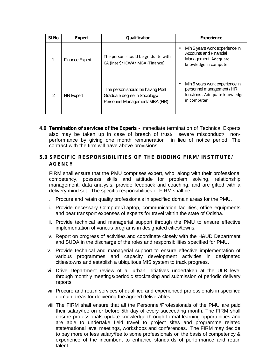| SI <sub>No</sub> | <b>Expert</b>         | Qualification                                                                                       | <b>Experience</b>                                                                                                |
|------------------|-----------------------|-----------------------------------------------------------------------------------------------------|------------------------------------------------------------------------------------------------------------------|
| 1.               | <b>Finance Expert</b> | The person should be graduate with<br>CA (inter)/ ICWA/ MBA (Finance).                              | Min 5 years work experience in<br><b>Accounts and Financial</b><br>Management. Adequate<br>knowledge in computer |
| 2                | <b>HR Expert</b>      | The person should be having Post<br>Graduate degree in Sociology/<br>Personnel Management/ MBA (HR) | Min 5 years work experience in<br>personnel management / HR<br>functions. Adequate knowledge<br>in computer      |

**4.0 Termination of services of the Experts -** Immediate termination of Technical Experts also may be taken up in case of breach of trust/ severe misconduct/ non performance by giving one month remuneration in lieu of notice period. The contract with the firm will have above provisions.

### **5.0 SPECIFIC RESPONSIBILITIES OF THE BIDDING FIRM/ INSTITUTE/ AGENCY**

FIRM shall ensure that the PMU comprises expert, who, along with their professional competency, possess skills and attitude for problem solving, relationship management, data analysis, provide feedback and coaching, and are gifted with a delivery mind set. The specific responsibilities of FIRM shall be:

- i. Procure and retain quality professionals in specified domain areas for the PMU.
- ii. Provide necessary Computer/Laptop, communication facilities, office equipments and bear transport expenses of experts for travel within the state of Odisha.
- iii. Provide technical and managerial support through the PMU to ensure effective implementation of various programs in designated cities/towns.
- iv. Report on progress of activities and coordinate closely with the H&UD Department and SUDA in the discharge of the roles and responsibilities specified for PMU.
- v. Provide technical and managerial support to ensure effective implementation of various programmes and capacity development activities in designated cities/towns and establish a ubiquitous MIS system to track progress.
- vi. Drive Department review of all urban initiatives undertaken at the ULB level through monthly meetings/periodic stocktaking and submission of periodic delivery reports
- vii. Procure and retain services of qualified and experienced professionals in specified domain areas for delivering the agreed deliverables.
- viii. The FIRM shall ensure that all the Personnel/Professionals of the PMU are paid their salary/fee on or before 5th day of every succeeding month. The FIRM shall ensure professionals update knowledge through formal learning opportunities and are able to undertake field travel to project sites and programme related state/national level meetings, workshops and conferences. The FIRM may decide to pay more or less salary/fee to some professionals on the basis of competency & experience of the incumbent to enhance standards of performance and retain talent.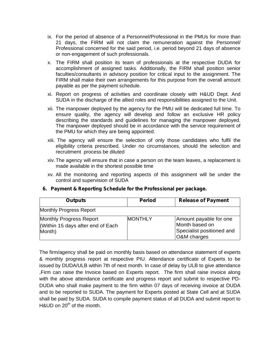- ix. For the period of absence of a Personnel/Professional in the PMUs for more than 21 days, the FIRM will not claim the remuneration against the Personnel/ Professional concerned for the said period, i.e. period beyond 21 days of absence or non-engagement of such professionals.
- x. The FIRM shall position its team of professionals at the respective DUDA for accomplishment of assigned tasks. Additionally, the FIRM shall position senior faculties/consultants in advisory position for critical input to the assignment. The FIRM shall make their own arrangements for this purpose from the overall amount payable as per the payment schedule.
- xi. Report on progress of activities and coordinate closely with H&UD Dept. And SUDA in the discharge of the allied roles and responsibilities assigned to the Unit.
- xii. The manpower deployed by the agency for the PMU will be dedicated full time. To ensure quality, the agency will develop and follow an exclusive HR policy describing the standards and guidelines for managing the manpower deployed. The manpower deployed should be in accordance with the service requirement of the PMU for which they are being appointed.
- xiii. The agency will ensure the selection of only those candidates who fulfil the eligibility criteria prescribed. Under no circumstances, should the selection and recruitment process be diluted
- xiv.The agency will ensure that in case a person on the team leaves, a replacement is made available in the shortest possible time
- xv. All the monitoring and reporting aspects of this assignment will be under the control and supervision of SUDA

| <b>Outputs</b>                                                        | <b>Period</b>  | <b>Release of Payment</b>                                                            |
|-----------------------------------------------------------------------|----------------|--------------------------------------------------------------------------------------|
| <b>Monthly Progress Report</b>                                        |                |                                                                                      |
| Monthly Progress Report<br>Within 15 days after end of Each<br>Month) | <b>MONTHLY</b> | Amount payable for one<br>Month based on<br>Specialist positioned and<br>O&M charges |

*6. Payment & Reporting Schedule for the Professional per package.*

The firm/agency shall be paid on monthly basis based on attendance statement of experts & monthly progress report at respective PIU. Attendance certificate of Experts to be issued by DUDA/ULB within 7th of next month. In case of delay by ULB to give attendance ,Firm can raise the Invoice based on Experts report. The firm shall raise invoice along with the above attendance certificate and progress report and submit to respective PD- DUDA who shall make payment to the firm within 07 days of receiving invoice at DUDA and to be reported to SUDA. The payment for Experts posted at State Cell and at SUDA shall be paid by SUDA. SUDA to compile payment status of all DUDA and submit report to  $H$ &UD on 20<sup>th</sup> of the month.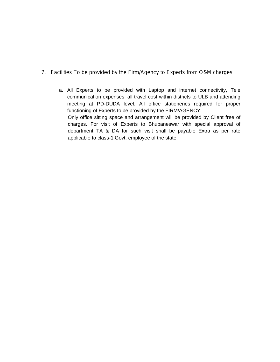- *7. Facilities To be provided by the Firm/Agency to Experts from O&M charges :*
	- a. All Experts to be provided with Laptop and internet connectivity, Tele communication expenses, all travel cost within districts to ULB and attending meeting at PD-DUDA level. All office stationeries required for proper functioning of Experts to be provided by the FIRM/AGENCY. Only office sitting space and arrangement will be provided by Client free of charges. For visit of Experts to Bhubaneswar with special approval of department TA & DA for such visit shall be payable Extra as per rate applicable to class-1 Govt. employee of the state.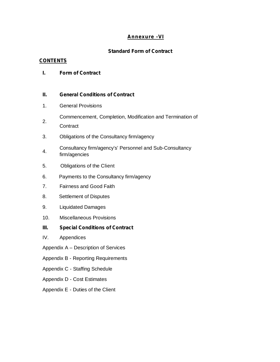### **Annexure -VI**

### **Standard Form of Contract**

### **CONTENTS**

### **I. Form of Contract**

### **II. General Conditions of Contract**

- 1. General Provisions
- 2. Commencement, Completion, Modification and Termination of
- **Contract**
- 3. Obligations of the Consultancy firm/agency
- 4. Consultancy firm/agency's' Personnel and Sub-Consultancy firm/agencies
- 5. Obligations of the Client
- 6. Payments to the Consultancy firm/agency
- 7. Fairness and Good Faith
- 8. Settlement of Disputes
- 9. Liquidated Damages
- 10. Miscellaneous Provisions
- **III. Special Conditions of Contract**
- IV. Appendices
- Appendix A Description of Services
- Appendix B Reporting Requirements
- Appendix C Staffing Schedule
- Appendix D Cost Estimates
- Appendix E Duties of the Client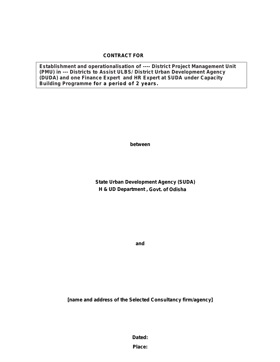### **CONTRACT FOR**

**Establishment and operationalisation of ---- District Project Management Unit (PMU) in --- Districts to Assist ULBS/ District Urban Development Agency (DUDA) and one Finance Expert and HR Expert at SUDA under Capacity Building Programme for a period of 2 years.**

**between**

**State Urban Development Agency (SUDA) H & UD Department , Govt. of Odisha**

**and**

**[name and address of the Selected Consultancy firm/agency]**

**Dated:**

**Place:**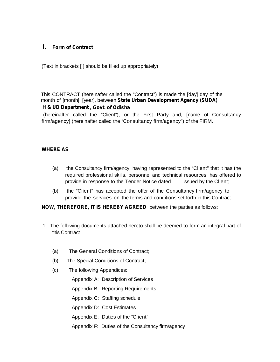### **I. Form of Contract**

(Text in brackets [ ] should be filled up appropriately)

This CONTRACT (hereinafter called the "Contract") is made the [day] day of the month of [month], [year], between **State Urban Development Agency (SUDA)**

### **H & UD Department , Govt. of Odisha**

(hereinafter called the "Client"), or the First Party and, [name of Consultancy firm/agency] (hereinafter called the "Consultancy firm/agency") of the FIRM.

### *WHERE AS*

- (a) the Consultancy firm/agency, having represented to the "Client" that it has the required professional skills, personnel and technical resources, has offered to provide in response to the Tender Notice dated issued by the Client;
- (b) the "Client" has accepted the offer of the Consultancy firm/agency to provide the services on the terms and conditions set forth in this Contract.

*NOW, THEREFORE, IT IS HEREBY AGREED* between the parties as follows:

- 1. The following documents attached hereto shall be deemed to form an integral part of this Contract
	- (a) The General Conditions of Contract;
	- (b) The Special Conditions of Contract;
	- (c) The following Appendices:
		- Appendix A: Description of Services
		- Appendix B: Reporting Requirements
		- Appendix C: Staffing schedule
		- Appendix D: Cost Estimates
		- Appendix E: Duties of the "Client"
		- Appendix F: Duties of the Consultancy firm/agency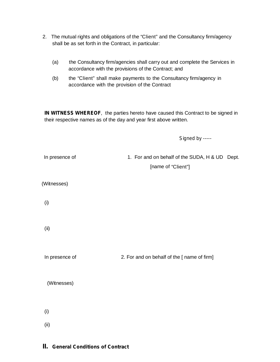- 2. The mutual rights and obligations of the "Client" and the Consultancy firm/agency shall be as set forth in the Contract, in particular:
	- (a) the Consultancy firm/agencies shall carry out and complete the Services in accordance with the provisions of the Contract; and
	- (b) the "Client" shall make payments to the Consultancy firm/agency in accordance with the provision of the Contract

*IN WITNESS WHEREOF*, the parties hereto have caused this Contract to be signed in their respective names as of the day and year first above written.

*Signed by -----*

| In presence of | 1. For and on behalf of the SUDA, H & UD Dept. |
|----------------|------------------------------------------------|
|                | [name of "Client"]                             |
|                |                                                |
| (Witnesses)    |                                                |
|                |                                                |
| (i)            |                                                |
|                |                                                |
|                |                                                |
| (ii)           |                                                |
|                |                                                |
|                |                                                |
| In presence of | 2. For and on behalf of the [ name of firm]    |
|                |                                                |
| (Witnesses)    |                                                |
|                |                                                |
|                |                                                |
| (i)            |                                                |
|                |                                                |
| (ii)           |                                                |

### **II. General Conditions of Contract**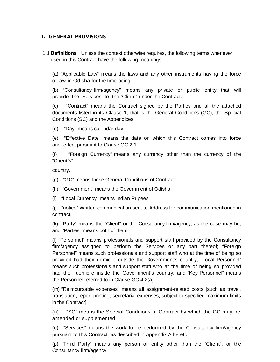### **1. GENERAL PROVISIONS**

1.1 **Definitions** Unless the context otherwise requires, the following terms whenever used in this Contract have the following meanings:

(a) "Applicable Law" means the laws and any other instruments having the force of law in Odisha for the time being.

(b) "Consultancy firm/agency" means any private or public entity that will provide the Services to the "Client" under the Contract.

(c) "Contract" means the Contract signed by the Parties and all the attached documents listed in its Clause 1, that is the General Conditions (GC), the Special Conditions (SC) and the Appendices.

(d) "Day" means calendar day.

(e) "Effective Date" means the date on which this Contract comes into force and effect pursuant to Clause GC 2.1.

(f) "Foreign Currency" means any currency other than the currency of the "Client's"

country.

- (g) "GC" means these General Conditions of Contract.
- (h) "Government" means the Government of Odisha
- (i) "Local Currency" means Indian Rupees.

(j) "notice" Written communication sent to Address for communication mentioned in contract.

(k) "Party" means the "Client" or the Consultancy firm/agency, as the case may be, and "Parties" means both of them.

(l) "Personnel" means professionals and support staff provided by the Consultancy firm/agency assigned to perform the Services or any part thereof; "Foreign Personnel" means such professionals and support staff who at the time of being so provided had their domicile outside the Government's country; "Local Personnel" means such professionals and support staff who at the time of being so provided had their domicile inside the Government's country; and "Key Personnel" means the Personnel referred to in Clause GC 4.2(a).

(m) "Reimbursable expenses" means all assignment-related costs [such as travel, translation, report printing, secretarial expenses, subject to specified maximum limits in the Contract].

(n) "SC" means the Special Conditions of Contract by which the GC may be amended or supplemented.

(o) "Services" means the work to be performed by the Consultancy firm/agency pursuant to this Contract, as described in Appendix A hereto.

(p) "Third Party" means any person or entity other than the "Client", or the Consultancy firm/agency.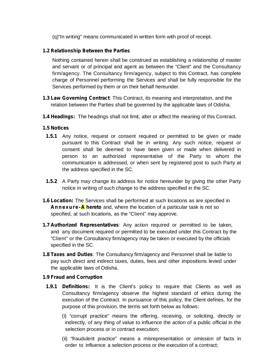(g) "In writing" means communicated in written form with proof of receipt.

### **1.2 Relationship Between the Parties**

Nothing contained herein shall be construed as establishing a relationship of master and servant or of principal and agent as between the "Client" and the Consultancy firm/agency. The Consultancy firm/agency, subject to this Contract, has complete charge of Personnel performing the Services and shall be fully responsible forthe Services performed by them or on their behalf hereunder.

- **1.3 Law Governing Contract**: This Contract, its meaning and interpretation, and the relation between the Parties shall be governed by the applicable laws of Odisha.
- **1.4 Headings:** The headings shall not limit, alter or affect the meaning of this Contract.

### **1.5 Notices**

- **1.5.1** Any notice, request or consent required or permitted to be given or made pursuant to this Contract shall be in writing. Any such notice, request or consent shall be deemed to have been given or made when delivered in person to an authorized representative of the Party to whom the communication is addressed, or when sent by registered post to such Party at the address specified in the SC.
- **1.5.2** A Party may change its address for notice hereunder by giving the other Party notice in writing of such change to the address specified in the SC.
- **1.6 Location:** The Services shall be performed at such locations as are specified in **Annexure-A** hereto and, where the location of a particular task is not so specified, at such locations, as the "Client" may approve.
- **1.7 Authorized Representatives**: Any action required or permitted to be taken, and any document required or permitted to be executed under this Contract by the "Client" or the Consultancy firm/agency may be taken or executed by the officials specified in the SC.
- **1.8 Taxes and Duties**: The Consultancy firm/agency and Personnel shall be liable to pay such direct and indirect taxes, duties, fees and other impositions levied under the applicable laws of Odisha.

### **1.9 Fraud and Corruption**

- **1.9.1 Definitions:** It is the Client's policy to require that Clients as well as Consultancy firm/agency observe the highest standard of ethics during the execution of the Contract. In pursuance of this policy, the Client defines, for the purpose of this provision, the terms set forth below as follows:
	- (i) "corrupt practice" means the offering, receiving, or soliciting, directly or indirectly, of any thing of value to influence the action of a public official in the selection process or in contract execution;
	- (ii) "fraudulent practice" means a misrepresentation or omission of facts in order to influence a selection process or the execution of a contract;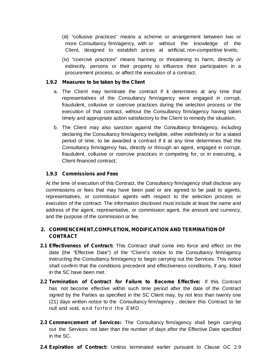- (iii) "collusive practices" means a scheme or arrangement between two or more Consultancy firm/agency, with or without the knowledge of the Client, designed to establish prices at artificial, non-competitive levels;
- (iv) "coercive practices" means harming or threatening to harm, directly or indirectly, persons or their property to influence their participation in a procurement process, or affect the execution of a contract;

### **1.9.2 Measures to be taken by the Client**

- a. The Client may terminate the contract if it determines at any time that representatives of the Consultancy firm/agency were engaged in corrupt, fraudulent, collusive or coercive practices during the selection process or the execution of that contract, without the Consultancy firm/agency having taken timely and appropriate action satisfactory to the Client to remedy the situation;
- b. The Client may also sanction against the Consultancy firm/agency, including declaring the Consultancy firm/agency ineligible, either indefinitely or for a stated period of time, to be awarded a contract if it at any time determines that the Consultancy firm/agency has, directly or through an agent, engaged in corrupt, fraudulent, collusive or coercive practices in competing for, or in executing, a Client-financed contract;

### **1.9.3 Commissions and Fees**

At the time of execution of this Contract, the Consultancy firm/agency shall disclose any commissions or fees that may have been paid or are agreed to be paid to agents, representatives, or commission agents with respect to the selection process or execution of the contract. The information disclosed must include at least the name and address of the agent, representative, or commission agent, the amount and currency, and the purpose of the commission or fee.

### **2. COMMENCEMENT,COMPLETION, MODIFICATION AND TERMINATION OF CONTRACT**

- **2.1 Effectiveness of Contract:** This Contract shall come into force and effect on the date (the "Effective Date") of the "Client's notice to the Consultancy firm/agency instructing the Consultancy firm/agency to begin carrying out the Services. This notice shall confirm that the conditions precedent and effectiveness conditions, if any, listed in the SC have been met.
- **2.2 Termination of Contract for Failure to Become Effective:** If this Contract has not become effective within such time period after the date of the Contract signed by the Parties as specified in the SC Client may, by not less than twenty one (21) days written notice to the Consultancy firm/agency , declare this Contract to be **Termination of Contract for Failure to**<br>has not become effective within such time<br>signed by the Parties as specified in the SC<br>(21) days written notice to the Consultancy fi<br>null and void, and forfeit the EMD.
- **2.3 Commencement of Services:** The Consultancy firm/agency shall begin carrying out the Services not later than the number of days after the Effective Date specified in the SC.
- **2.4 Expiration of Contract:** Unless terminated earlier pursuant to Clause GC 2.9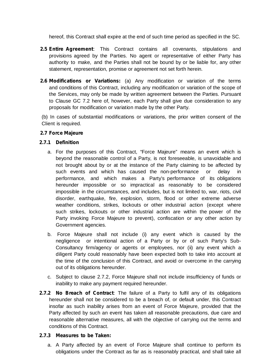hereof, this Contract shall expire at the end of such time period as specified in the SC.

- **2.5 Entire Agreement**: This Contract contains allcovenants, stipulations and provisions agreed by the Parties. No agent or representative of either Party has authority to make, and the Parties shall not be bound by or be liable for, any other statement, representation, promise or agreement not set forth herein.
- **2.6 Modifications or Variations:** (a) Any modification or variation of the terms and conditions of this Contract, including any modification or variation of the scope of the Services, may only be made by written agreement between the Parties. Pursuant to Clause GC 7.2 here of, however, each Party shall give due consideration to any proposals for modification or variation made by the other Party.

(b) In cases of substantial modifications or variations, the prior written consent of the Client is required.

### **2.7 Force Majeure**

### **2.7.1 Definition**

- a. For the purposes of this Contract, "Force Majeure" means an event which is beyond the reasonable control of a Party, is not foreseeable, is unavoidable and not brought about by or at the instance of the Party claiming to be affected by such events and which has caused the non-performance or delay in performance, and which makes a Party's performance of its obligations hereunder impossible or so impractical as reasonably to be considered impossible in the circumstances, and includes, but is not limited to, war, riots, civil disorder, earthquake, fire, explosion, storm, flood or other extreme adverse weather conditions, strikes, lockouts or other industrial action (except where such strikes, lockouts or other industrial action are within the power of the Party invoking Force Majeure to prevent), confiscation or any other action by Government agencies.
- b. Force Majeure shall not include (i) any event which is caused by the negligence or intentional action of a Party or by or of such Party's Sub- Consultancy firm/agency or agents or employees, nor (ii) any event which a diligent Party could reasonably have been expected both to take into account at the time of the conclusion of this Contract, and avoid or overcome in the carrying out of its obligations hereunder.
- c. Subject to clause 2.7.2, Force Majeure shall not include insufficiency of funds or inability to make any payment required hereunder.
- **2.7.2 No Breach of Contract**: The failure of a Party to fulfil any of its obligations hereunder shall not be considered to be a breach of, or default under, this Contract insofar as such inability arises from an event of Force Majeure, provided that the Party affected by such an event has taken all reasonable precautions, due care and reasonable alternative measures, all with the objective of carrying out the terms and conditions of this Contract.

#### **2.7.3 Measures to be Taken:**

a. A Party affected by an event of Force Majeure shall continue to perform its obligations under the Contract as far as is reasonably practical, and shall take all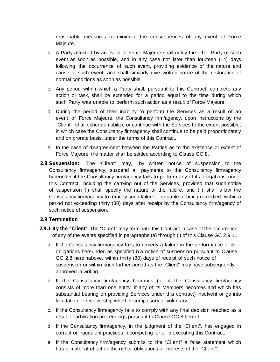reasonable measures to minimize the consequences of any event of Force Majeure.

- b. A Party affected by an event of Force Majeure shall notify the other Party of such event as soon as possible, and in any case not later than fourteen (14) days following the occurrence of such event, providing evidence of the nature and cause of such event, and shall similarly give written notice of the restoration of normal conditions as soon as possible.
- c. Any period within which a Party shall, pursuant to this Contract, complete any action or task, shall be extended for a period equal to the time during which such Party was unable to perform such action as a result of Force Majeure.
- d. During the period of their inability to perform the Services as a result of an event of Force Majeure, the Consultancy firm/agency, upon instructions by the "Client", shall either demobilize or continue with the Services to the extent possible, in which case the Consultancy firm/agency shall continue to be paid proportionately and on prorate basis, under the terms of this Contract.
- e. In the case of disagreement between the Parties as to the existence or extent of Force Majeure, the matter shall be settled according to Clause GC 8.
- **2.8 Suspension:** The "Client" may, by written notice of suspension to the Consultancy firm/agency, suspend all payments to the Consultancy firm/agency hereunder if the Consultancy firm/agency fails to perform any of its obligations under this Contract, including the carrying out of the Services, provided that such notice of suspension (i) shall specify the nature of the failure, and (ii) shall allow the Consultancy firm/agency to remedy such failure, if capable of being remedied, within a period not exceeding thirty (30) days after receipt by the Consultancy firm/agency of such notice of suspension.

### **2.9 Termination**

- **2.9.1 By the "Client**": The "Client" may terminate this Contract in case of the occurrence of any of the events specified in paragraphs (a) through (i) of this Clause GC 2.9.1..
	- a. If the Consultancy firm/agency fails to remedy a failure in the performance of its obligations hereunder, as specified in a notice of suspension pursuant to Clause GC 2.8 hereinabove, within thirty (30) days of receipt of such notice of suspension or within such further period as the "Client" may have subsequently approved in writing.
	- b. If the Consultancy firm/agency becomes (or, if the Consultancy firm/agency consists of more than one entity, if any of its Members becomes and which has substantial bearing on providing Services under this contract) insolvent or go into liquidation or receivership whether compulsory or voluntary.
	- c. If the Consultancy firm/agency fails to comply with any final decision reached as a result of arbitration proceedings pursuant to Clause GC 8 hereof.
	- d. If the Consultancy firm/agency, in the judgment of the "Client", has engaged in corrupt or fraudulent practices in competing for or in executing this Contract.
	- e. If the Consultancy firm/agency submits to the "Client" a false statement which has a material effect on the rights, obligations or interests of the "Client".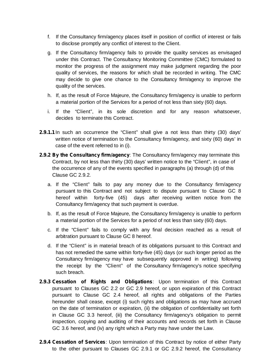- f. If the Consultancy firm/agency places itself in position of conflict of interest or fails to disclose promptly any conflict of interest to the Client.
- g. If the Consultancy firm/agency fails to provide the quality services as envisaged under this Contract. The Consultancy Monitoring Committee (CMC) formulated to monitor the progress of the assignment may make judgment regarding the poor quality of services, the reasons for which shall be recorded in writing. The CMC may decide to give one chance to the Consultancy firm/agency to improve the quality of the services.
- h. If, as the result of Force Majeure, the Consultancy firm/agency is unable to perform a material portion of the Services for a period of not less than sixty (60) days.
- i. If the "Client", in its sole discretion and for any reason whatsoever, decides to terminate this Contract.
- **2.9.1.1** In such an occurrence the "Client" shall give a not less than thirty (30) days' written notice of termination to the Consultancy firm/agency, and sixty (60) days' in case of the event referred to in (i).
- **2.9.2 By the Consultancy firm/agency**: The Consultancy firm/agency may terminate this Contract, by not less than thirty (30) days' written notice to the "Client", in case of the occurrence of any of the events specified in paragraphs (a) through (d) of this Clause GC 2.9.2.
	- a. If the "Client" fails to pay any money due to the Consultancy firm/agency pursuant to this Contract and not subject to dispute pursuant to Clause GC 8 hereof within forty-five (45) days after receiving written notice from the Consultancy firm/agency that such payment is overdue.
	- b. If, as the result of Force Majeure, the Consultancy firm/agency is unable to perform a material portion of the Services for a period of not less than sixty (60) days.
	- c. If the "Client" fails to comply with any final decision reached as a result of arbitration pursuant to Clause GC 8 hereof.
	- d. If the "Client" is in material breach of its obligations pursuant to this Contract and has not remedied the same within forty-five (45) days (or such longer period as the Consultancy firm/agency may have subsequently approved in writing) following the receipt by the "Client" of the Consultancy firm/agency's notice specifying such breach.
- **2.9.3 Cessation of Rights and Obligations**: Upon termination of this Contract pursuant to Clauses GC 2.2 or GC 2.9 hereof, or upon expiration of this Contract pursuant to Clause GC 2.4 hereof, all rights and obligations of the Parties hereunder shall cease, except (i) such rights and obligations as may have accrued on the date of termination or expiration, (ii) the obligation of confidentiality setforth in Clause GC 3.3 hereof, (iii) the Consultancy firm/agency's obligation to permit inspection, copying and auditing of their accounts and records set forth in Clause GC 3.6 hereof, and (iv) any right which a Party may have under the Law.
- **2.9.4 Cessation of Services**: Upon termination of this Contract by notice of either Party to the other pursuant to Clauses GC 2.9.1 or GC 2.9.2 hereof, the Consultancy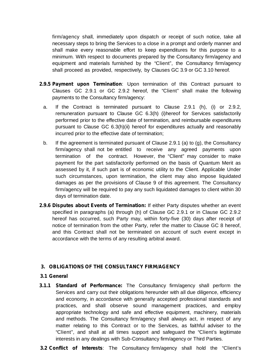firm/agency shall, immediately upon dispatch or receipt of such notice, take all necessary steps to bring the Services to a close in a prompt and orderly manner and shall make every reasonable effort to keep expenditures for this purpose to a minimum. With respect to documents prepared by the Consultancy firm/agency and equipment and materials furnished by the "Client", the Consultancy firm/agency shall proceed as provided, respectively, by Clauses GC 3.9 or GC 3.10 hereof.

- **2.9.5 Payment upon Termination**: Upon termination of this Contract pursuant to Clauses GC 2.9.1 or GC 2.9.2 hereof, the "Client" shall make the following payments to the Consultancy firm/agency:
	- a. If the Contract is terminated pursuant to Clause 2.9.1 (h), (i) or 2.9.2, remuneration pursuant to Clause GC 6.3(h) (i)hereof for Services satisfactorily performed prior to the effective date of termination, and reimbursable expenditures pursuant to Clause GC 6.3(h)(ii) hereof for expenditures actually and reasonably incurred prior to the effective date of termination;
	- b. If the agreement is terminated pursuant of Clause 2.9.1 (a) to (g), the Consultancy firm/agency shall not be entitled to receive any agreed payments upon termination of the contract. However, the "Client" may consider to make payment for the part satisfactorily performed on the basis of Quantum Merit as assessed by it, if such part is of economic utility to the Client. Applicable Under such circumstances, upon termination, the client may also impose liquidated damages as per the provisions of Clause 9 of this agreement. The Consultancy firm/agency will be required to pay any such liquidated damages to client within 30 days of termination date.
- **2.9.6 Disputes about Events of Termination:** If either Party disputes whether an event specified in paragraphs (a) through (h) of Clause GC 2.9.1 or in Clause GC 2.9.2 hereof has occurred, such Party may, within forty-five (30) days after receipt of notice of termination from the other Party, refer the matter to Clause GC 8 hereof, and this Contract shall not be terminated on account of such event except in accordance with the terms of any resulting arbitral award.

### **3. OBLIGATIONS OF THE CONSULTANCY FIRM/AGENCY**

### **3.1 General**

- **3.1.1 Standard of Performance:** The Consultancy firm/agency shall perform the Services and carry out their obligations hereunder with all due diligence, efficiency and economy, in accordance with generally accepted professional standards and practices, and shall observe sound management practices, and employ appropriate technology and safe and effective equipment, machinery, materials and methods. The Consultancy firm/agency shall always act, in respect of any matter relating to this Contract or to the Services, as faithful adviser to the "Client", and shall at all times support and safeguard the "Client's legitimate interests in any dealings with Sub-Consultancy firm/agency or Third Parties.
- **3.2 Conflict of Interests**: The Consultancy firm/agency shall hold the "Client's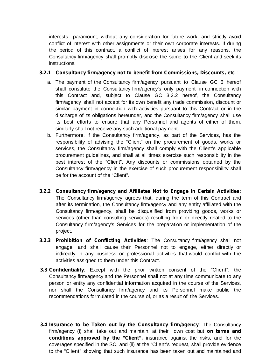interests paramount, without any consideration for future work, and strictly avoid conflict of interest with other assignments or their own corporate interests. If during the period of this contract, a conflict of interest arises for any reasons, the Consultancy firm/agency shall promptly disclose the same to the Client and seek its instructions.

### **3.2.1 Consultancy firm/agency not to benefit from Commissions, Discounts, etc**.:

- a. The payment of the Consultancy firm/agency pursuant to Clause GC 6 hereof shall constitute the Consultancy firm/agency's only payment in connection with this Contract and, subject to Clause GC 3.2.2 hereof, the Consultancy firm/agency shall not accept for its own benefit any trade commission, discount or similar payment in connection with activities pursuant to this Contract or in the discharge of its obligations hereunder, and the Consultancy firm/agency shall use its best efforts to ensure that any Personnel and agents of either of them, similarly shall not receive any such additional payment.
- b. Furthermore, if the Consultancy firm/agency, as part of the Services, has the responsibility of advising the "Client" on the procurement of goods, works or services, the Consultancy firm/agency shall comply with the Client's applicable procurement guidelines, and shall at all times exercise such responsibility in the best interest of the "Client". Any discounts or commissions obtained by the Consultancy firm/agency in the exercise of such procurement responsibility shall be for the account of the "Client".
- **3.2.2 Consultancy firm/agency and Affiliates Not to Engage in Certain Activities:** The Consultancy firm/agency agrees that, during the term of this Contract and after its termination, the Consultancy firm/agency and any entity affiliated with the Consultancy firm/agency, shall be disqualified from providing goods, works or services (other than consulting services) resulting from or directly related to the Consultancy firm/agency's Services for the preparation or implementation of the project.
- **3.2.3 Prohibition of Conflicting Activities**: The Consultancy firm/agency shall not engage, and shall cause their Personnel not to engage, either directly or indirectly, in any business or professional activities that would conflict with the activities assigned to them under this Contract.
- **3.3 Confidentiality**: Except with the prior written consent of the "Client", the Consultancy firm/agency and the Personnel shall not at any time communicate to any person or entity any confidential information acquired in the course of the Services, nor shall the Consultancy firm/agency and its Personnel make public the recommendations formulated in the course of, or as a result of, the Services.
- **3.4 Insurance to be Taken out by the Consultancy firm/agency**: The Consultancy firm/agency (i) shall take out and maintain, at their own cost but **on terms and conditions approved by the "Client",** insurance against the risks, and for the coverages specified in the SC, and (ii) at the "Client's request, shall provide evidence to the "Client" showing that such insurance has been taken out and maintained and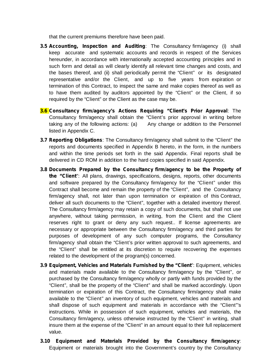that the current premiums therefore have been paid.

- **3.5 Accounting, Inspection and Auditing**: The Consultancy firm/agency (i) shall keep accurate and systematic accounts and records in respect of the Services hereunder, in accordance with internationally accepted accounting principles and in such form and detail as will clearly identify all relevant time changes and costs, and the bases thereof, and (ii) shall periodically permit the "Client" or its designated representative and/or the Client, and up to five years from expiration or termination of this Contract, to inspect the same and make copies thereof as well as to have them audited by auditors appointed by the "Client" or the Client, if so required by the "Client" or the Client as the case may be.
- **3.6 Consultancy firm/agency's Actions Requiring "Client's Prior Approval**: The Consultancy firm/agency shall obtain the "Client's prior approval in writing before taking any of the following actions: (a) Any change or addition to the Personnel listed in Appendix C.
- **3.7 Reporting Obligations**: The Consultancy firm/agency shall submit to the "Client" the reports and documents specified in Appendix B hereto, in the form, in the numbers and within the time periods set forth in the said Appendix. Final reports shall be delivered in CD ROM in addition to the hard copies specified in said Appendix.
- **3.8 Documents Prepared by the Consultancy firm/agency to be the Property of the "Client**": All plans, drawings, specifications, designs, reports, other documents and software prepared by the Consultancy firm/agency for the "Client" under this Contract shall become and remain the property of the "Client", and the Consultancy firm/agency shall, not later than upon termination or expiration of this Contract, deliver all such documents to the "Client", together with a detailed inventory thereof. The Consultancy firm/agency may retain a copy of such documents, but shall not use anywhere, without taking permission, in writing, from the Client and the Client reserves right to grant or deny any such request.. If license agreements are necessary or appropriate between the Consultancy firm/agency and third parties for purposes of development of any such computer programs, the Consultancy firm/agency shall obtain the "Client's prior written approval to such agreements, and the "Client" shall be entitled at its discretion to require recovering the expenses related to the development of the program(s) concerned.
- **3.9 Equipment, Vehicles and Materials Furnished by the "Client**": Equipment, vehicles and materials made available to the Consultancy firm/agency by the "Client", or purchased by the Consultancy firm/agency wholly or partly with funds provided by the "Client", shall be the property of the "Client" and shall be marked accordingly. Upon termination or expiration of this Contract, the Consultancy firm/agency shall make available to the "Client" an inventory of such equipment, vehicles and materials and shall dispose of such equipment and materials in accordance with the "Client"'s instructions. While in possession of such equipment, vehicles and materials, the Consultancy firm/agency, unless otherwise instructed by the "Client" in writing, shall insure them at the expense of the "Client" in an amount equal to their full replacement value.
- **3.10 Equipment and Materials Provided by the Consultancy firm/agency**: Equipment or materials brought into the Government's country by the Consultancy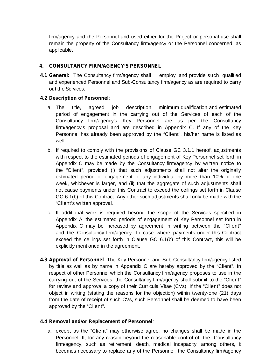firm/agency and the Personnel and used either for the Project or personal use shall remain the property of the Consultancy firm/agency or the Personnel concerned, as applicable.

### **4. CONSULTANCY FIRM/AGENCY'S PERSONNEL**

**4.1 General:** The Consultancy firm/agency shall employ and provide such qualified and experienced Personnel and Sub-Consultancy firm/agency as are required to carry out the Services.

### **4.2 Description of Personnel**:

- a. The title, agreed job description, minimum qualification and estimated period of engagement in the carrying out of the Services of each of the Consultancy firm/agency's Key Personnel are as per the Consultancy firm/agency's proposal and are described in Appendix C.If any of the Key Personnel has already been approved by the "Client", his/her name is listed as well.
- b. If required to comply with the provisions of Clause GC 3.1.1 hereof, adjustments with respect to the estimated periods of engagement of Key Personnel set forth in Appendix C may be made by the Consultancy firm/agency by written notice to the "Client", provided (i) that such adjustments shall not alter the originally estimated period of engagement of any individual by more than 10% or one week, whichever is larger, and (ii) that the aggregate of such adjustments shall not cause payments under this Contract to exceed the ceilings setforth in Clause GC 6.1(b) of this Contract. Any other such adjustments shall only be made with the "Client's written approval.
- c. If additional work is required beyond the scope of the Services specified in Appendix A, the estimated periods of engagement of Key Personnel set forth in Appendix C may be increased by agreement in writing between the "Client" and the Consultancy firm/agency. In case where payments under this Contract exceed the ceilings set forth in Clause GC 6.1(b) of this Contract, this will be explicitly mentioned in the agreement.
- **4.3 Approval of Personnel**: The Key Personnel and Sub-Consultancy firm/agency listed by title as well as by name in Appendix C are hereby approved by the "Client". In respect of other Personnel which the Consultancy firm/agency proposes to use in the carrying out of the Services, the Consultancy firm/agency shall submit to the "Client" for review and approval a copy of their Curricula Vitae (CVs). If the "Client" does not object in writing (stating the reasons for the objection) within twenty-one (21) days from the date of receipt of such CVs, such Personnel shall be deemed to have been approved by the "Client".

### **4.4 Removal and/or Replacement of Personnel**:

a. except as the "Client" may otherwise agree, no changes shall be made in the Personnel. If, for any reason beyond the reasonable control of the Consultancy firm/agency, such as retirement, death, medical incapacity, among others, it becomes necessary to replace any of the Personnel, the Consultancy firm/agency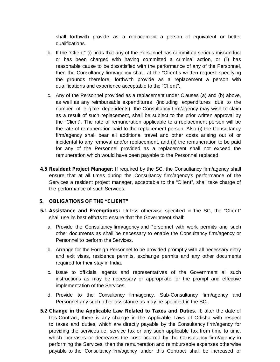shall forthwith provide as a replacement a person of equivalent or better qualifications.

- b. If the "Client" (i) finds that any of the Personnel has committed serious misconduct or has been charged with having committed a criminal action, or (ii) has reasonable cause to be dissatisfied with the performance of any of the Personnel, then the Consultancy firm/agency shall, at the "Client's written request specifying the grounds therefore, forthwith provide as a replacement a person with qualifications and experience acceptable to the "Client".
- c. Any of the Personnel provided as a replacement under Clauses (a) and (b) above, as well as any reimbursable expenditures (including expenditures due to the number of eligible dependents) the Consultancy firm/agency may wish to claim as a result of such replacement, shall be subject to the prior written approval by the "Client". The rate of remuneration applicable to a replacement person will be the rate of remuneration paid to the replacement person. Also (i) the Consultancy firm/agency shall bear all additional travel and other costs arising out of or incidental to any removal and/or replacement, and (ii) the remuneration to be paid for any of the Personnel provided as a replacement shall not exceed the remuneration which would have been payable to the Personnel replaced.
- **4.5 Resident Project Manager**: If required by the SC, the Consultancy firm/agency shall ensure that at all times during the Consultancy firm/agency's performance of the Services a resident project manager, acceptable to the "Client", shall take charge of the performance of such Services.

#### **5. OBLIGATIONS OF THE "CLIENT"**

- **5.1 Assistance and Exemptions:** Unless otherwise specified in the SC, the "Client" shall use its best efforts to ensure that the Government shall:
	- a. Provide the Consultancy firm/agency and Personnel with work permits and such other documents as shall be necessary to enable the Consultancy firm/agency or Personnel to perform the Services.
	- b. Arrange for the Foreign Personnel to be provided promptly with all necessary entry and exit visas, residence permits, exchange permits and any other documents required for their stay in India.
	- c. Issue to officials, agents and representatives of the Government all such instructions as may be necessary or appropriate for the prompt and effective implementation of the Services.
	- d. Provide to the Consultancy firm/agency, Sub-Consultancy firm/agency and Personnel any such other assistance as may be specified in the SC.
- **5.2 Change in the Applicable Law Related to Taxes and Duties**: If, after the date of this Contract, there is any change in the Applicable Laws of Odisha with respect to taxes and duties, which are directly payable by the Consultancy firm/agency for providing the services i.e. service tax or any such applicable tax from time to time, which increases or decreases the cost incurred by the Consultancy firm/agency in performing the Services, then the remuneration and reimbursable expenses otherwise payable to the Consultancy firm/agency under this Contract shall be increased or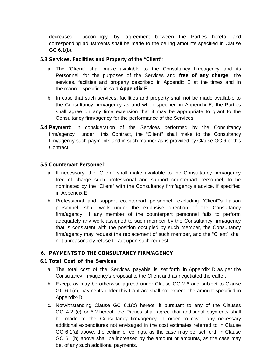decreased accordingly by agreement between the Parties hereto, and corresponding adjustments shall be made to the ceiling amounts specified in Clause GC 6.1(b).

### **5.3 Services, Facilities and Property of the "Client**":

- a. The "Client" shall make available to the Consultancy firm/agency and its Personnel, for the purposes of the Services and free of any charge, the services, facilities and property described in Appendix E at the times and in the manner specified in said **Appendix E**.
- b. In case that such services, facilities and property shall not be made available to the Consultancy firm/agency as and when specified in Appendix E, the Parties shall agree on any time extension that it may be appropriate to grant to the Consultancy firm/agency for the performance of the Services.
- **5.4 Payment**: In consideration of the Services performed by the Consultancy firm/agency under this Contract, the "Client" shall make to the Consultancy firm/agency such payments and in such manner as is provided by Clause GC 6 of this Contract.

### **5.5 Counterpart Personnel**:

- a. If necessary, the "Client" shall make available to the Consultancy firm/agency free of charge such professional and support counterpart personnel, to be nominated by the "Client" with the Consultancy firm/agency's advice, if specified in Appendix E.
- b. Professional and support counterpart personnel, excluding "Client"'s liaison personnel, shall work under the exclusive direction of the Consultancy firm/agency. If any member of the counterpart personnel fails to perform adequately any work assigned to such member by the Consultancy firm/agency that is consistent with the position occupied by such member, the Consultancy firm/agency may request the replacement of such member, and the "Client" shall not unreasonably refuse to act upon such request.

### **6. PAYMENTS TO THE CONSULTANCY FIRM/AGENCY**

### **6.1 Total Cost of the Services**

- a. The total cost of the Services payable is set forth in Appendix D as per the Consultancy firm/agency's proposal to the Client and as negotiated thereafter.
- b. Except as may be otherwise agreed under Clause GC 2.6 and subject to Clause GC 6.1(c), payments under this Contract shall not exceed the amount specified in Appendix-D.
- c. Notwithstanding Clause GC 6.1(b) hereof, if pursuant to any of the Clauses GC 4.2 (c) or 5.2 hereof, the Parties shall agree that additional payments shall be made to the Consultancy firm/agency in order to cover any necessary additional expenditures not envisaged in the cost estimates referred to in Clause GC 6.1(a) above, the ceiling or ceilings, as the case may be, set forth in Clause GC 6.1(b) above shall be increased by the amount or amounts, as the case may be, of any such additional payments.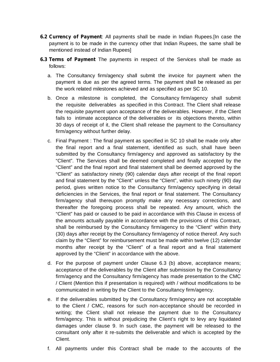- **6.2 Currency of Payment**: All payments shall be made in Indian Rupees.[In case the payment is to be made in the currency other that Indian Rupees, the same shall be mentioned instead of Indian Rupees]
- **6.3 Terms of Payment** The payments in respect of the Services shall be made as follows:
	- a. The Consultancy firm/agency shall submit the invoice for payment when the payment is due as per the agreed terms. The payment shall be released as per the work related milestones achieved and as specified as per SC 10.
	- b. Once a milestone is completed, the Consultancy firm/agency shall submit the requisite deliverables as specified in this Contract. The Client shall release the requisite payment upon acceptance of the deliverables. However, if the Client fails to intimate acceptance of the deliverables or its objections thereto, within 30 days of receipt of it, the Client shall release the payment to the Consultancy firm/agency without further delay.
	- c. Final Payment : The final payment as specified in SC 10 shall be made only after the final report and a final statement, identified as such, shall have been submitted by the Consultancy firm/agency and approved as satisfactory by the "Client". The Services shall be deemed completed and finally accepted by the "Client" and the final report and final statement shall be deemed approved by the "Client" as satisfactory ninety (90) calendar days after receipt of the final report and final statement by the "Client" unless the "Client", within such ninety (90) day period, gives written notice to the Consultancy firm/agency specifying in detail deficiencies in the Services, the final report or final statement. The Consultancy firm/agency shall thereupon promptly make any necessary corrections, and thereafter the foregoing process shall be repeated. Any amount, which the "Client" has paid or caused to be paid in accordance with this Clause in excess of the amounts actually payable in accordance with the provisions of this Contract, shall be reimbursed by the Consultancy firm/agency to the "Client" within thirty (30) days after receipt by the Consultancy firm/agency of notice thereof. Any such claim by the "Client" for reimbursement must be made within twelve (12) calendar months after receipt by the "Client" of a final report and a final statement approved by the "Client" in accordance with the above.
	- d. For the purpose of payment under Clause 6.3 (b) above, acceptance means; acceptance of the deliverables by the Client after submission by the Consultancy firm/agency and the Consultancy firm/agency has made presentation to the CMC / Client (Mention this if presentation is required) with / without modifications to be communicated in writing by the Client to the Consultancy firm/agency.
	- e. If the deliverables submitted by the Consultancy firm/agency are not acceptable to the Client / CMC, reasons for such non-acceptance should be recorded in writing; the Client shall not release the payment due to the Consultancy firm/agency. This is without prejudicing the Client's right to levy any liquidated damages under clause 9. In such case, the payment will be released to the consultant only after it re-submits the deliverable and which is accepted by the Client.
	- f. All payments under this Contract shall be made to the accounts of the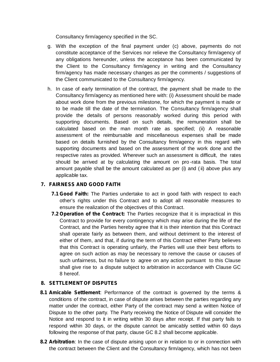Consultancy firm/agency specified in the SC.

- g. With the exception of the final payment under (c) above, payments do not constitute acceptance of the Services nor relieve the Consultancy firm/agency of any obligations hereunder, unless the acceptance has been communicated by the Client to the Consultancy firm/agency in writing and the Consultancy firm/agency has made necessary changes as per the comments / suggestions of the Client communicated to the Consultancy firm/agency.
- h. In case of early termination of the contract, the payment shall be made to the Consultancy firm/agency as mentioned here with: (i) Assessment should be made about work done from the previous milestone, for which the payment is made or to be made till the date of the termination. The Consultancy firm/agency shall provide the details of persons reasonably worked during this period with supporting documents. Based on such details, the remuneration shall be calculated based on the man month rate as specified; (ii) A reasonable assessment of the reimbursable and miscellaneous expenses shall be made based on details furnished by the Consultancy firm/agency in this regard with supporting documents and based on the assessment of the work done and the respective rates as provided. Wherever such an assessment is difficult, the rates should be arrived at by calculating the amount on pro -rata basis. The total amount payable shall be the amount calculated as per (i) and (ii) above plus any applicable tax.

### **7. FAIRNESS AND GOOD FAITH**

- **7.1 Good Faith:** The Parties undertake to act in good faith with respect to each other's rights under this Contract and to adopt all reasonable measures to ensure the realization of the objectives of this Contract.
- **7.2 Operation of the Contract:** The Parties recognize that it is impractical in this Contract to provide for every contingency which may arise during the life of the Contract, and the Parties hereby agree that it is their intention that this Contract shall operate fairly as between them, and without detriment to the interest of either of them, and that, if during the term of this Contract either Party believes that this Contract is operating unfairly, the Parties will use their best efforts to agree on such action as may be necessary to remove the cause or causes of such unfairness, but no failure to agree on any action pursuant to this Clause shall give rise to a dispute subject to arbitration in accordance with Clause GC 8 hereof.

### **8. SETTLEMENT OF DISPUTES**

- **8.1 Amicable Settlement**: Performance of the contract is governed by the terms & conditions of the contract, in case of dispute arises between the parties regarding any matter under the contract, either Party of the contract may send a written Notice of Dispute to the other party. The Party receiving the Notice of Dispute will consider the Notice and respond to it in writing within 30 days after receipt. If that party fails to respond within 30 days, or the dispute cannot be amicably settled within 60 days following the response of that party, clause GC 8.2 shall become applicable.
- **8.2 Arbitration**: In the case of dispute arising upon or in relation to or in connection with the contract between the Client and the Consultancy firm/agency, which has not been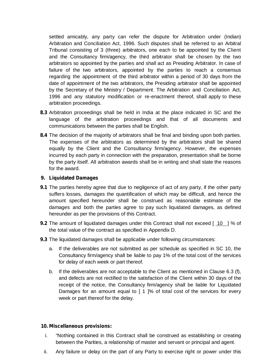settled amicably, any party can refer the dispute for Arbitration under (Indian) Arbitration and Conciliation Act,1996. Such disputes shall be referred to an Arbitral Tribunal consisting of 3 (three) arbitrators, one each to be appointed by the Client and the Consultancy firm/agency, the third arbitrator shall be chosen by the two arbitrators so appointed by the parties and shallact as Presiding Arbitrator. In case of failure of the two arbitrators, appointed by the parties to reach a consensus regarding the appointment of the third arbitrator within a period of 30 days from the date of appointment of the two arbitrators, the Presiding arbitrator shall be appointed by the Secretary of the Ministry / Department. The Arbitration and Conciliation Act, 1996 and any statutory modification or re-enactment thereof, shall apply to these arbitration proceedings.

- **8.3** Arbitration proceedings shall be held in India at the place indicated in SC and the language of the arbitration proceedings and that of all documents and communications between the parties shall be English.
- **8.4** The decision of the majority of arbitrators shall be final and binding upon both parties. The expenses of the arbitrators as determined by the arbitrators shall be shared equally by the Client and the Consultancy firm/agency. However, the expenses incurred by each party in connection with the preparation, presentation shall be borne by the party itself. All arbitration awards shall be in writing and shall state the reasons for the award.

#### **9. Liquidated Damages**

- **9.1** The parties hereby agree that due to negligence of act of any party, if the other party suffers losses, damages the quantification of which may be difficult, and hence the amount specified hereunder shall be construed as reasonable estimate of the damages and both the parties agree to pay such liquidated damages, as defined hereunder as per the provisions of this Contract.
- **9.2** The amount of liquidated damages under this Contract shall not exceed [10 ] % of the total value of the contract as specified in Appendix D.
- **9.3** The liquidated damages shall be applicable under following circumstances:
	- a. If the deliverables are not submitted as per schedule as specified in SC 10, the Consultancy firm/agency shall be liable to pay 1% of the total cost of the services for delay of each week or part thereof.
	- b. If the deliverables are not acceptable to the Client as mentioned in Clause 6.3 (f), and defects are not rectified to the satisfaction of the Client within 30 days of the receipt of the notice, the Consultancy firm/agency shall be liable for Liquidated Damages for an amount equal to [ 1 ]% of total cost of the services for every week or part thereof for the delay.

#### **10. Miscellaneous provisions:**

- i. "Nothing contained in this Contract shall be construed as establishing or creating between the Parities, a relationship of master and servant or principal and agent.
- ii. Any failure or delay on the part of any Party to exercise right or power under this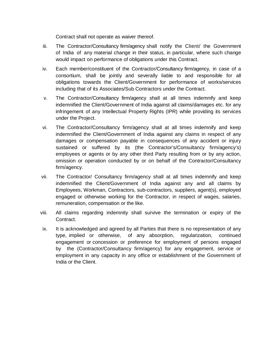Contract shall not operate as waiver thereof.

- iii. The Contractor/Consultancy firm/agency shall notify the Client/ the Government of India of any material change in their status, in particular, where such change would impact on performance of obligations under this Contract.
- iv. Each member/constituent of the Contractor/Consultancy firm/agency, in case of a consortium, shall be jointly and severally liable to and responsible for all obligations towards the Client/Government for performance of works/services including that of its Associates/Sub Contractors under the Contract.
- v. The Contractor/Consultancy firm/agency shall at all times indemnify and keep indemnified the Client/Government of India against all claims/damages etc. for any infringement of any Intellectual Property Rights (IPR) while providing its services under the Project.
- vi. The Contractor/Consultancy firm/agency shall at all times indemnify and keep indemnified the Client/Government of India against any claims in respect of any damages or compensation payable in consequences of any accident or injury sustained or suffered by its (the Contractor's/Consultancy firm/agency's) employees or agents or by any other third Party resulting from or by any action, omission or operation conducted by or on behalf of the Contractor/Consultancy firm/agency.
- vii. The Contractor/ Consultancy firm/agency shall at all times indemnify and keep indemnified the Client/Government of India against any and all claims by Employees, Workman, Contractors, sub-contractors, suppliers, agent(s), employed engaged or otherwise working for the Contractor, in respect of wages, salaries, remuneration, compensation or the like.
- viii. All claims regarding indemnity shall survive the termination or expiry of the Contract.
- ix. It is acknowledged and agreed by all Parties that there is no representation of any type, implied or otherwise, of any absorption, regularization, continued engagement or concession or preference for employment of persons engaged by the (Contractor/Consultancy firm/agency) for any engagement, service or employment in any capacity in any office or establishment of the Government of India or the Client.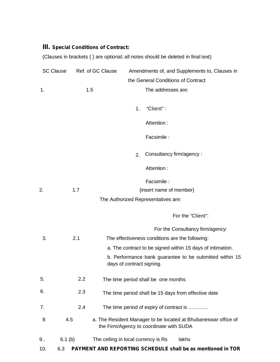## **III. Special Conditions of Contract:**

(Clauses in brackets { } are optional; all notes should be deleted in final text)

| <b>SC Clause</b> | Ref. of GC Clause |                                     | Amendments of, and Supplements to, Clauses in                                                             |
|------------------|-------------------|-------------------------------------|-----------------------------------------------------------------------------------------------------------|
|                  |                   |                                     | the General Conditions of Contract                                                                        |
| 1.               | 1.5               |                                     | The addresses are:                                                                                        |
|                  |                   |                                     |                                                                                                           |
|                  |                   |                                     | "Client":<br>1.                                                                                           |
|                  |                   |                                     | Attention:                                                                                                |
|                  |                   |                                     | Facsimile :                                                                                               |
|                  |                   |                                     | Consultancy firm/agency:<br>2.                                                                            |
|                  |                   |                                     | Attention:                                                                                                |
|                  |                   |                                     | Facsimile :                                                                                               |
| 2.               | 1.7               |                                     | {insert name of member}                                                                                   |
|                  |                   |                                     | The Authorized Representatives are:                                                                       |
|                  |                   |                                     | For the "Client":                                                                                         |
|                  |                   |                                     | For the Consultancy firm/agency:                                                                          |
| 3.               | 2.1               |                                     | The effectiveness conditions are the following:                                                           |
|                  |                   |                                     | a. The contract to be signed within 15 days of intimation.                                                |
|                  |                   | days of contract signing.           | b. Performance bank guarantee to be submitted within 15                                                   |
| 5.               | 2.2               |                                     | The time period shall be one months                                                                       |
| 6.               | 2.3               |                                     | The time period shall be 15 days from effective date                                                      |
| 7.               | 2.4               |                                     | The time period of expiry of contract is                                                                  |
| 8                | 4.5               |                                     | a. The Resident Manager to be located at Bhubaneswar office of<br>the Firm/Agency to coordinate with SUDA |
| 9.5              | 6.1(b)            | The ceiling in local currency is Rs | lakhs                                                                                                     |
| 10.              | 6.3               |                                     | <b>PAYMENT AND REPORTING SCHEDULE shall be as mentioned in TOR</b>                                        |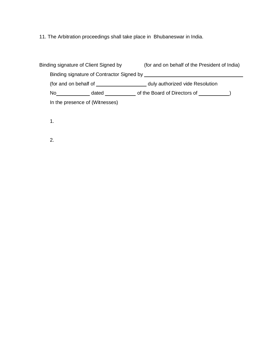11. The Arbitration proceedings shall take place in Bhubaneswar in India.

|    | Binding signature of Client Signed by | (for and on behalf of the President of India)                                             |  |
|----|---------------------------------------|-------------------------------------------------------------------------------------------|--|
|    |                                       | Binding signature of Contractor Signed by Theorem 2012 Contractor School and Theorem 2013 |  |
|    | (for and on behalf of                 | duly authorized vide Resolution                                                           |  |
| No | dated                                 | of the Board of Directors of (a)                                                          |  |
|    | In the presence of (Witnesses)        |                                                                                           |  |

1.

2.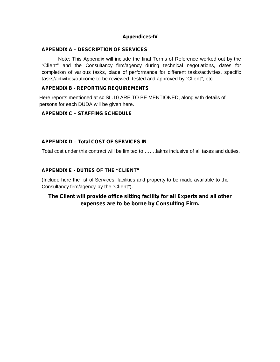### **Appendices-IV**

#### **APPENDIX A – DESCRIPTION OF SERVICES**

Note: This Appendix will include the final Terms of Reference worked out by the "Client" and the Consultancy firm/agency during technical negotiations, dates for completion of various tasks, place of performance for different tasks/activities, specific tasks/activities/outcome to be reviewed, tested and approved by "Client", etc.

### **APPENDIX B - REPORTING REQUIREMENTS**

Here reports mentioned at sc SL.10 ARE TO BE MENTIONED, along with details of persons for each DUDA will be given here.

### **APPENDIX C – STAFFING SCHEDULE**

### **APPENDIX D – Total COST OF SERVICES IN**

Total cost under this contract will be limited to …….lakhs inclusive of all taxes and duties.

### **APPENDIX E - DUTIES OF THE "CLIENT"**

(Include here the list of Services, facilities and property to be made available to the Consultancy firm/agency by the "Client").

### **The Client will provide office sitting facility for all Experts and all other expenses are to be borne by Consulting Firm.**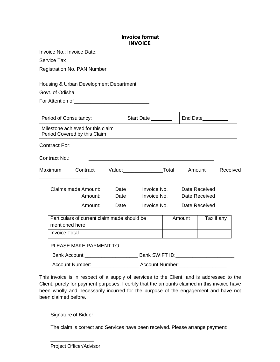### **Invoice format INVOICE**

Invoice No.: Invoice Date:

Service Tax

Registration No. PAN Number

Housing & Urban Development Department

Govt. of Odisha

For Attention of **Example 20** 

| Period of Consultancy:         |                                                                   |      | Start Date ________                |                                | End Date   |          |
|--------------------------------|-------------------------------------------------------------------|------|------------------------------------|--------------------------------|------------|----------|
|                                | Milestone achieved for this claim<br>Period Covered by this Claim |      |                                    |                                |            |          |
|                                |                                                                   |      |                                    |                                |            |          |
| Contract No.:                  |                                                                   |      |                                    |                                |            |          |
| <b>Maximum</b>                 |                                                                   |      | Contract Value: Total              |                                | Amount     | Received |
| Claims made Amount:<br>Amount: |                                                                   | Date | Date<br>Invoice No.<br>Invoice No. | Date Received<br>Date Received |            |          |
|                                | Amount:                                                           | Date | Invoice No.                        | Date Received                  |            |          |
|                                | Particulars of current claim made should be<br>mentioned here     |      |                                    | Amount                         | Tax if any |          |
| <b>Invoice Total</b>           |                                                                   |      |                                    |                                |            |          |
|                                | PLEASE MAKE PAYMENT TO:                                           |      |                                    |                                |            |          |
|                                |                                                                   |      |                                    |                                |            |          |
| <b>Account Number:</b>         |                                                                   |      |                                    |                                |            |          |

This invoice is in respect of a supply of services to the Client, and is addressed to the Client, purely for payment purposes. I certify that the amounts claimed in this invoice have been wholly and necessarily incurred for the purpose of the engagement and have not been claimed before.

Signature of Bidder

The claim is correct and Services have been received. Please arrange payment:

Project Officer/Advisor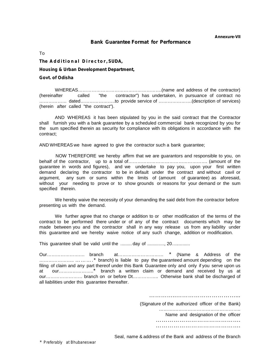#### **Bank Guarantee Format for Performance**

To

**To**<br>The Additional Director, SUDA,<br>Housing & Urban Development Department,

#### **Govt. of Odisha**

WHEREAS……………………………………………….(name and address of the contractor) (hereinafter called "the contractor") has undertaken, in pursuance of contract no ……………… dated…………………..to provide service of ………………….(description of services) (herein after called "the contract").

AND WHEREAS it has been stipulated by you in the said contract that the Contractor shall furnish you with a bank guarantee by a scheduled commercial bank recognized by you for the sum specified therein as security for compliance with its obligations in accordance with the contract;

AND WHEREAS we have agreed to give the contractor such a bank guarantee;

NOW THEREFORE we hereby affirm that we are guarantors and responsible to you, on behalf of the contractor, up to a total of……………………………………………. (amount of the guarantee in words and figures), and we undertake to pay you, upon your first written demand declaring the contractor to be in default under the contract and without cavil or argument, any sum or sums within the limits of (amount of guarantee) as aforesaid, without your needing to prove or to show grounds or reasons for your demand or the sum specified therein.

We hereby waive the necessity of your demanding the said debt from the contractor before presenting us with the demand.

We further agree that no change or addition to or other modification of the terms of the contract to be performed there under or of any of the contract documents which may be made between you and the contractor shall in any way release us from any liability under this guarantee and we hereby waive notice of any such change, addition or modification.

This quarantee shall be valid until the .........day of .............., 20..............

Our………………….… branch at………………………… \* (Name & Address of the ………………….. ……….\* branch) is liable to pay the guaranteed amount depending on the filing of claim and any part thereof under this Bank Guarantee only and only if you serve upon us at our…………………..\* branch a written claim or demand and received by us at our…………………… branch on or before Dt…………….. Otherwise bank shall be discharged of all liabilities under this guarantee thereafter.

………………………………………………

(Signature of the authorized officer of the Bank)

……….…………………………………….. Name and designation of the officer ……………………………………. …………………………………….

Seal, name & address of the Bank and address of the Branch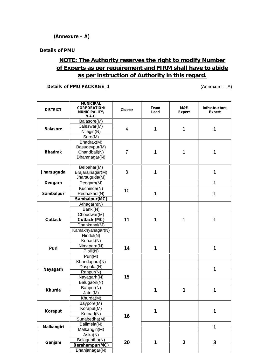### **(Annexure – A)**

#### **Details of PMU**

# **NOTE: The Authority reserves the right to modify Number of Experts as per requirement and FIRM shall have to abide as per instruction of Authority in this regard.**

**Details of PMU PACKAGE\_1** (Annexure – A)

| <b>DISTRICT</b>   | <b>MUNICIPAL</b><br><b>CORPORATION/</b><br><b>MUNICIPALITY/</b><br><b>N.A.C.</b> | <b>Cluster</b> | Team<br>Lead | M&E<br><b>Expert</b> | Infrastructure<br><b>Expert</b> |
|-------------------|----------------------------------------------------------------------------------|----------------|--------------|----------------------|---------------------------------|
|                   | Balasore(M)                                                                      |                |              |                      |                                 |
|                   | Jaleswar(M)                                                                      |                |              |                      |                                 |
| <b>Balasore</b>   | Nilagiri(N)                                                                      | 4              | $\mathbf{1}$ | 1                    | 1                               |
|                   | Soro(M)                                                                          |                |              |                      |                                 |
|                   | Bhadrak(M)                                                                       |                |              |                      |                                 |
|                   | Basudevpur(M)                                                                    |                |              |                      |                                 |
| <b>Bhadrak</b>    | Chandbali(N)                                                                     | $\overline{7}$ | 1            | 1                    | 1                               |
|                   | Dhamnagar(N)                                                                     |                |              |                      |                                 |
|                   | Belpahar(M)                                                                      |                |              |                      |                                 |
| <b>Jharsuguda</b> | Brajarajnagar(M)                                                                 | 8              | $\mathbf{1}$ |                      | 1                               |
|                   | Jharsuguda(M)                                                                    |                |              |                      |                                 |
| <b>Deogarh</b>    | Deogarh(M)                                                                       |                |              |                      | 1                               |
|                   | Kuchinda(N)                                                                      |                | 1            |                      |                                 |
| <b>Sambalpur</b>  | Redhakhol(N)                                                                     | 10             |              |                      | 1                               |
|                   | Sambalpur(MC)                                                                    |                |              |                      |                                 |
|                   | Athagarh(N)                                                                      |                |              |                      |                                 |
|                   | Banki(N)                                                                         |                | 1            | 1                    |                                 |
|                   | Choudwar(M)                                                                      | 11             |              |                      |                                 |
| <b>Cuttack</b>    | <b>Cuttack (MC)</b>                                                              |                |              |                      | 1                               |
|                   | Dhankanal(M)                                                                     |                |              |                      |                                 |
|                   | Kamakhyanagar(N)                                                                 |                |              |                      |                                 |
|                   | Hindol(N)                                                                        |                |              |                      |                                 |
|                   | Konark(N)                                                                        |                |              |                      |                                 |
| <b>Puri</b>       | Nimapara(N)                                                                      | 14             | 1            |                      | 1                               |
|                   | Pipili(N)                                                                        |                |              |                      |                                 |
|                   | Puri(M)                                                                          |                |              |                      |                                 |
|                   | Khandapara(N)                                                                    |                |              |                      |                                 |
| <b>Nayagarh</b>   | Daspala (N)                                                                      |                |              |                      | 1                               |
|                   | Ranpur(N)                                                                        |                |              |                      |                                 |
|                   | Nayagarh(N)                                                                      | 15             |              |                      |                                 |
|                   | Balugaon(N)                                                                      |                |              |                      |                                 |
| <b>Khurda</b>     | Banpur(N)                                                                        |                | 1            | 1                    | 1                               |
|                   | Jatni(M)                                                                         |                |              |                      |                                 |
|                   | Khurda(M)                                                                        |                |              |                      |                                 |
|                   | Jaypore(M)                                                                       |                |              |                      |                                 |
| <b>Koraput</b>    | Koraput(M)                                                                       |                | 1            |                      | 1                               |
|                   | Kotpad(N)                                                                        | 16             |              |                      |                                 |
|                   | Sunabedha(M)                                                                     |                |              |                      |                                 |
| <b>Malkangiri</b> | Balimela(N)                                                                      |                |              |                      | 1                               |
|                   | Malkangiri(M)                                                                    |                |              |                      |                                 |
|                   | Aska(N)                                                                          |                |              |                      |                                 |
| Ganjam            | Belaguntha(N)                                                                    | 20             | 1            | $\mathbf{2}$         | 3                               |
|                   | Berahampur(MC)                                                                   |                |              |                      |                                 |
|                   | Bhanjanagar(N)                                                                   |                |              |                      |                                 |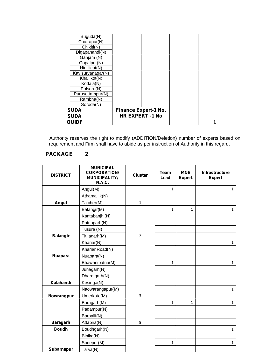| Buguda(N)         |  |                             |  |
|-------------------|--|-----------------------------|--|
| Chatrapur(N)      |  |                             |  |
| Chikiti(N)        |  |                             |  |
| Digapahandi(N)    |  |                             |  |
| Ganjam (N)        |  |                             |  |
| Gopalpur(N)       |  |                             |  |
| Hinjilicut(N)     |  |                             |  |
| Kavisuryanagar(N) |  |                             |  |
| Khallikot(N)      |  |                             |  |
| Kodala(N)         |  |                             |  |
| Polsora(N)        |  |                             |  |
| Purusottampur(N)  |  |                             |  |
| Rambha(N)         |  |                             |  |
| Soroda(N)         |  |                             |  |
| <b>SUDA</b>       |  | <b>Finance Expert-1 No.</b> |  |
| <b>SUDA</b>       |  | <b>HR EXPERT -1 No</b>      |  |
| <b>OUIDF</b>      |  |                             |  |

Authority reserves the right to modify (ADDITION/Deletion) number of experts based on requirement and Firm shall have to abide as per instruction of Authority in this regard.

# **PACKAGE\_\_\_\_2**

| <b>DISTRICT</b>   | <b>MUNICIPAL</b><br><b>CORPORATION/</b><br><b>MUNICIPALITY/</b><br><b>N.A.C.</b> | <b>Cluster</b> | <b>Team</b><br>Lead | M&E<br><b>Expert</b> | Infrastructure<br><b>Expert</b> |
|-------------------|----------------------------------------------------------------------------------|----------------|---------------------|----------------------|---------------------------------|
|                   | Angul(M)                                                                         |                | $\mathbf{1}$        |                      | 1                               |
|                   | Athamallik(N)                                                                    |                |                     |                      |                                 |
| <b>Angul</b>      | Talcher(M)                                                                       | $\mathbf{1}$   |                     |                      |                                 |
|                   | Balangir(M)                                                                      |                | $\mathbf{1}$        | 1                    | 1                               |
|                   | Kantabanjhi(N)                                                                   |                |                     |                      |                                 |
|                   | Patnagarh(N)                                                                     |                |                     |                      |                                 |
|                   | Tusura (N)                                                                       |                |                     |                      |                                 |
| <b>Balangir</b>   | Titilagarh(M)                                                                    | $\overline{2}$ |                     |                      |                                 |
|                   | Khariar(N)                                                                       |                |                     |                      | $\mathbf{1}$                    |
|                   | Khariar Road(N)                                                                  |                |                     |                      |                                 |
| <b>Nuapara</b>    | Nuapara(N)                                                                       |                |                     |                      |                                 |
|                   | Bhawanipatna(M)                                                                  |                | $\mathbf{1}$        |                      | $\mathbf{1}$                    |
|                   | Junagarh(N)                                                                      |                |                     |                      |                                 |
|                   | Dharmgarh(N)                                                                     |                |                     |                      |                                 |
| Kalahandi         | Kesinga(N)                                                                       |                |                     |                      |                                 |
|                   | Naowarangapur(M)                                                                 |                |                     |                      | 1                               |
| <b>Nowrangpur</b> | Umerkote(M)                                                                      | 3              |                     |                      |                                 |
|                   | Baragarh(M)                                                                      |                | $\mathbf{1}$        | $\mathbf{1}$         | 1                               |
|                   | Padampur(N)                                                                      |                |                     |                      |                                 |
|                   | Barpalli(N)                                                                      |                |                     |                      |                                 |
| <b>Baragarh</b>   | Attabira(N)                                                                      | 5              |                     |                      |                                 |
| <b>Boudh</b>      | Boudhgarh(N)                                                                     |                |                     |                      | 1                               |
|                   | Binika(N)                                                                        |                |                     |                      |                                 |
|                   | Sonepur(M)                                                                       |                | $\mathbf{1}$        |                      | 1                               |
| <b>Subarnapur</b> | Tarva(N)                                                                         |                |                     |                      |                                 |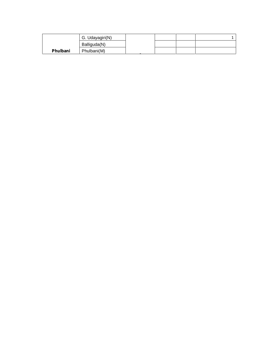|                 | G. Udayagiri(N) |  |  |
|-----------------|-----------------|--|--|
|                 | Balliguda(N)    |  |  |
| <b>Phulbani</b> | Phulbani(M)     |  |  |